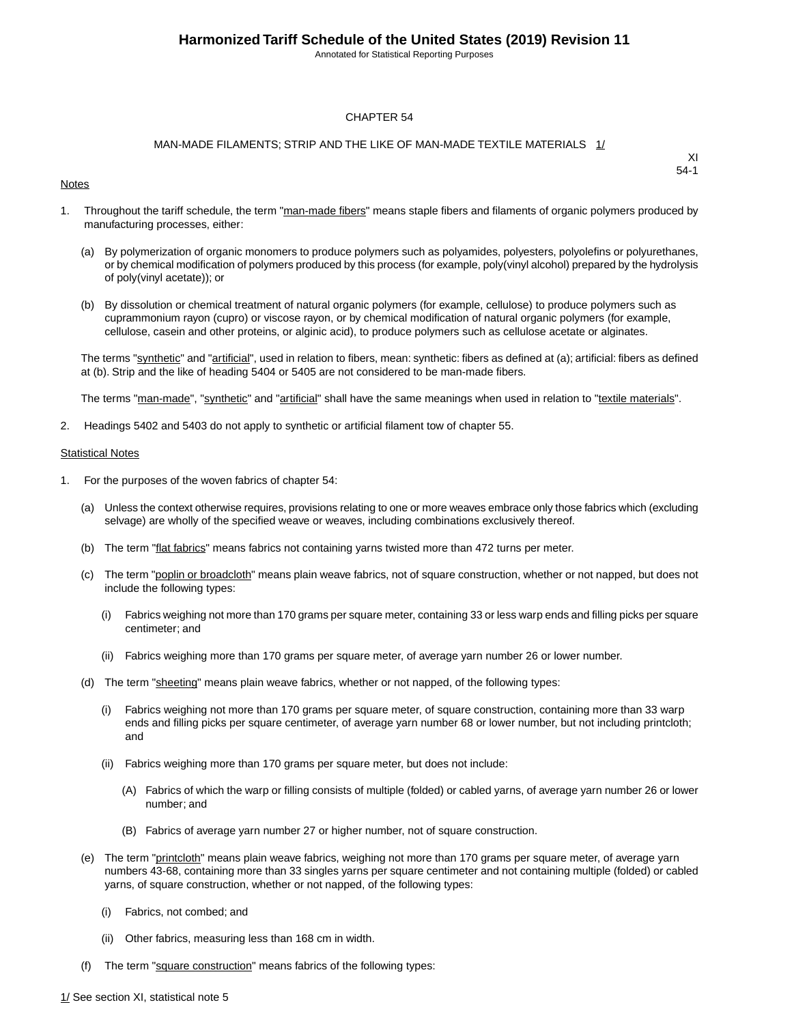Annotated for Statistical Reporting Purposes

#### CHAPTER 54

#### MAN-MADE FILAMENTS; STRIP AND THE LIKE OF MAN-MADE TEXTILE MATERIALS 1/

#### **Notes**

XI 54-1

- 1. Throughout the tariff schedule, the term "man-made fibers" means staple fibers and filaments of organic polymers produced by manufacturing processes, either:
	- (a) By polymerization of organic monomers to produce polymers such as polyamides, polyesters, polyolefins or polyurethanes, or by chemical modification of polymers produced by this process (for example, poly(vinyl alcohol) prepared by the hydrolysis of poly(vinyl acetate)); or
	- (b) By dissolution or chemical treatment of natural organic polymers (for example, cellulose) to produce polymers such as cuprammonium rayon (cupro) or viscose rayon, or by chemical modification of natural organic polymers (for example, cellulose, casein and other proteins, or alginic acid), to produce polymers such as cellulose acetate or alginates.

The terms "synthetic" and "artificial", used in relation to fibers, mean: synthetic: fibers as defined at (a); artificial: fibers as defined at (b). Strip and the like of heading 5404 or 5405 are not considered to be man-made fibers.

The terms "man-made", "synthetic" and "artificial" shall have the same meanings when used in relation to "textile materials".

2. Headings 5402 and 5403 do not apply to synthetic or artificial filament tow of chapter 55.

#### **Statistical Notes**

- 1. For the purposes of the woven fabrics of chapter 54:
	- (a) Unless the context otherwise requires, provisions relating to one or more weaves embrace only those fabrics which (excluding selvage) are wholly of the specified weave or weaves, including combinations exclusively thereof.
	- (b) The term "flat fabrics" means fabrics not containing yarns twisted more than 472 turns per meter.
	- (c) The term "poplin or broadcloth" means plain weave fabrics, not of square construction, whether or not napped, but does not include the following types:
		- (i) Fabrics weighing not more than 170 grams per square meter, containing 33 or less warp ends and filling picks per square centimeter; and
		- (ii) Fabrics weighing more than 170 grams per square meter, of average yarn number 26 or lower number.
	- (d) The term "sheeting" means plain weave fabrics, whether or not napped, of the following types:
		- (i) Fabrics weighing not more than 170 grams per square meter, of square construction, containing more than 33 warp ends and filling picks per square centimeter, of average yarn number 68 or lower number, but not including printcloth; and
		- (ii) Fabrics weighing more than 170 grams per square meter, but does not include:
			- (A) Fabrics of which the warp or filling consists of multiple (folded) or cabled yarns, of average yarn number 26 or lower number; and
			- (B) Fabrics of average yarn number 27 or higher number, not of square construction.
	- (e) The term "printcloth" means plain weave fabrics, weighing not more than 170 grams per square meter, of average yarn numbers 43-68, containing more than 33 singles yarns per square centimeter and not containing multiple (folded) or cabled yarns, of square construction, whether or not napped, of the following types:
		- (i) Fabrics, not combed; and
		- (ii) Other fabrics, measuring less than 168 cm in width.
	- (f) The term "square construction" means fabrics of the following types: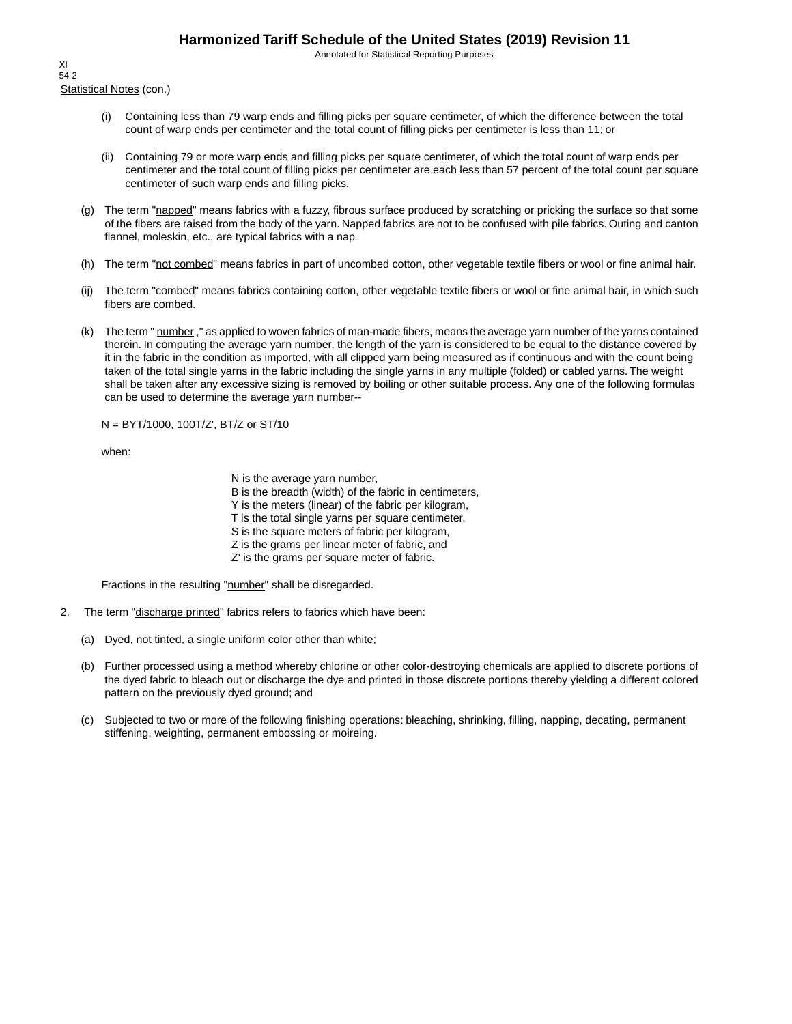Annotated for Statistical Reporting Purposes

Statistical Notes (con.) XI 54-2

- (i) Containing less than 79 warp ends and filling picks per square centimeter, of which the difference between the total count of warp ends per centimeter and the total count of filling picks per centimeter is less than 11; or
- (ii) Containing 79 or more warp ends and filling picks per square centimeter, of which the total count of warp ends per centimeter and the total count of filling picks per centimeter are each less than 57 percent of the total count per square centimeter of such warp ends and filling picks.
- (g) The term "napped" means fabrics with a fuzzy, fibrous surface produced by scratching or pricking the surface so that some of the fibers are raised from the body of the yarn. Napped fabrics are not to be confused with pile fabrics. Outing and canton flannel, moleskin, etc., are typical fabrics with a nap.
- (h) The term "not combed" means fabrics in part of uncombed cotton, other vegetable textile fibers or wool or fine animal hair.
- (ij) The term "combed" means fabrics containing cotton, other vegetable textile fibers or wool or fine animal hair, in which such fibers are combed.
- (k) The term " number," as applied to woven fabrics of man-made fibers, means the average yarn number of the yarns contained therein. In computing the average yarn number, the length of the yarn is considered to be equal to the distance covered by it in the fabric in the condition as imported, with all clipped yarn being measured as if continuous and with the count being taken of the total single yarns in the fabric including the single yarns in any multiple (folded) or cabled yarns. The weight shall be taken after any excessive sizing is removed by boiling or other suitable process. Any one of the following formulas can be used to determine the average yarn number--

N = BYT/1000, 100T/Z', BT/Z or ST/10

when:

N is the average yarn number,

B is the breadth (width) of the fabric in centimeters,

Y is the meters (linear) of the fabric per kilogram,

T is the total single yarns per square centimeter,

S is the square meters of fabric per kilogram,

- Z is the grams per linear meter of fabric, and
- Z' is the grams per square meter of fabric.

Fractions in the resulting "number" shall be disregarded.

- 2. The term "discharge printed" fabrics refers to fabrics which have been:
	- (a) Dyed, not tinted, a single uniform color other than white;
	- (b) Further processed using a method whereby chlorine or other color-destroying chemicals are applied to discrete portions of the dyed fabric to bleach out or discharge the dye and printed in those discrete portions thereby yielding a different colored pattern on the previously dyed ground; and
	- (c) Subjected to two or more of the following finishing operations: bleaching, shrinking, filling, napping, decating, permanent stiffening, weighting, permanent embossing or moireing.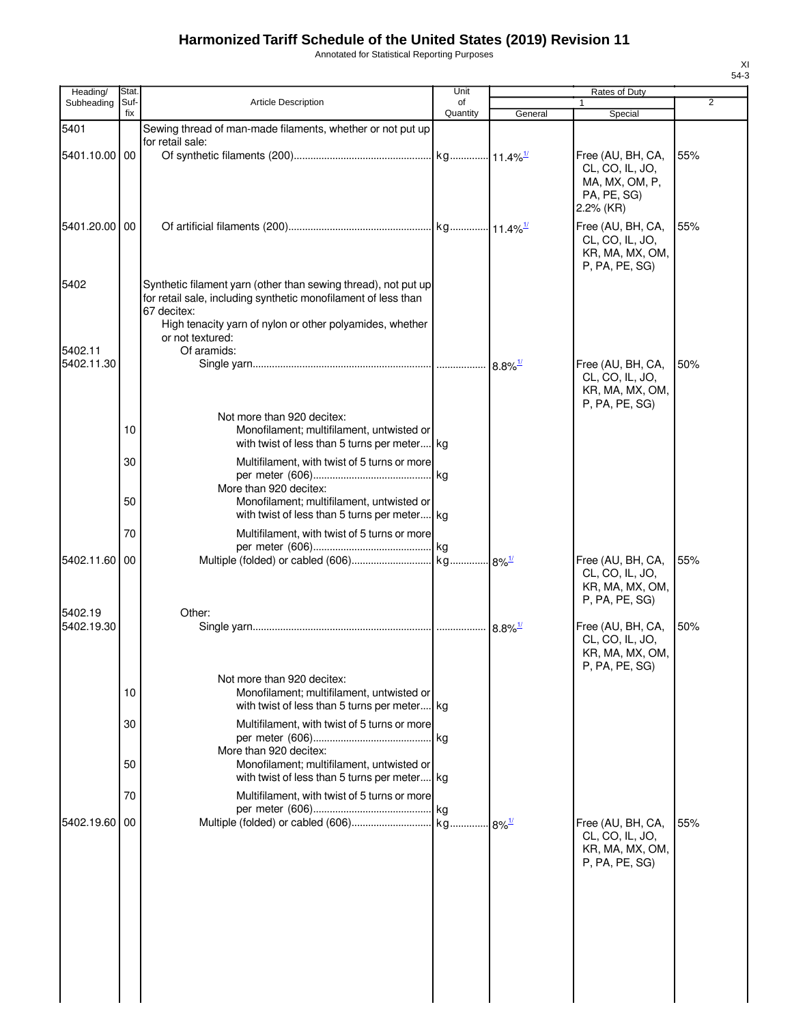Annotated for Statistical Reporting Purposes

| Heading/      | Stat.       |                                                                                                                                                 | Unit           |                        | Rates of Duty                                                                |                |
|---------------|-------------|-------------------------------------------------------------------------------------------------------------------------------------------------|----------------|------------------------|------------------------------------------------------------------------------|----------------|
| Subheading    | Suf-<br>fix | Article Description                                                                                                                             | of<br>Quantity | General                | 1<br>Special                                                                 | $\overline{2}$ |
| 5401          |             | Sewing thread of man-made filaments, whether or not put up                                                                                      |                |                        |                                                                              |                |
|               |             | for retail sale:                                                                                                                                |                |                        |                                                                              |                |
| 5401.10.00 00 |             |                                                                                                                                                 |                |                        | Free (AU, BH, CA,<br>CL, CO, IL, JO,<br>MA, MX, OM, P,                       | 55%            |
|               |             |                                                                                                                                                 |                |                        | PA, PE, SG)<br>2.2% (KR)                                                     |                |
| 5401.20.00    | 00          |                                                                                                                                                 |                |                        | Free (AU, BH, CA,                                                            | 55%            |
|               |             |                                                                                                                                                 |                |                        | CL, CO, IL, JO,<br>KR, MA, MX, OM,<br>P, PA, PE, SG)                         |                |
| 5402          |             | Synthetic filament yarn (other than sewing thread), not put up<br>for retail sale, including synthetic monofilament of less than<br>67 decitex: |                |                        |                                                                              |                |
| 5402.11       |             | High tenacity yarn of nylon or other polyamides, whether<br>or not textured:<br>Of aramids:                                                     |                |                        |                                                                              |                |
| 5402.11.30    |             |                                                                                                                                                 |                | $8.8\%$ <sup>1/</sup>  | Free (AU, BH, CA,<br>CL, CO, IL, JO,                                         | 50%            |
|               |             |                                                                                                                                                 |                |                        | KR, MA, MX, OM,<br>P, PA, PE, SG)                                            |                |
|               | 10          | Not more than 920 decitex:<br>Monofilament; multifilament, untwisted or                                                                         |                |                        |                                                                              |                |
|               |             | with twist of less than 5 turns per meter kg                                                                                                    |                |                        |                                                                              |                |
|               | 30          | Multifilament, with twist of 5 turns or more                                                                                                    |                |                        |                                                                              |                |
|               |             | More than 920 decitex:                                                                                                                          |                |                        |                                                                              |                |
|               | 50          | Monofilament; multifilament, untwisted or                                                                                                       |                |                        |                                                                              |                |
|               | 70          | with twist of less than 5 turns per meter kg<br>Multifilament, with twist of 5 turns or more                                                    |                |                        |                                                                              |                |
|               |             |                                                                                                                                                 |                |                        |                                                                              |                |
| 5402.11.60    | 00          |                                                                                                                                                 |                |                        | Free (AU, BH, CA,<br>CL, CO, IL, JO,                                         | 55%            |
|               |             |                                                                                                                                                 |                |                        | KR, MA, MX, OM,<br>P, PA, PE, SG)                                            |                |
| 5402.19       |             | Other:                                                                                                                                          |                |                        |                                                                              |                |
| 5402.19.30    |             |                                                                                                                                                 |                | . 8.8% <sup>1/</sup> ∝ | Free (AU, BH, CA,<br>CL, CO, IL, JO,<br>KR, MA, MX, OM,<br>$P$ , PA, PE, SG) | 50%            |
|               | 10          | Not more than 920 decitex:<br>Monofilament; multifilament, untwisted or                                                                         |                |                        |                                                                              |                |
|               |             | with twist of less than 5 turns per meter kg                                                                                                    |                |                        |                                                                              |                |
|               | 30          | Multifilament, with twist of 5 turns or more                                                                                                    |                |                        |                                                                              |                |
|               | 50          | More than 920 decitex:<br>Monofilament; multifilament, untwisted or                                                                             |                |                        |                                                                              |                |
|               |             | with twist of less than 5 turns per meter kg                                                                                                    |                |                        |                                                                              |                |
|               | 70          | Multifilament, with twist of 5 turns or more                                                                                                    |                |                        |                                                                              |                |
| 5402.19.60    | 00          |                                                                                                                                                 |                |                        | Free (AU, BH, CA,                                                            | 55%            |
|               |             |                                                                                                                                                 |                |                        | CL, CO, IL, JO,<br>KR, MA, MX, OM,<br>P, PA, PE, SG)                         |                |
|               |             |                                                                                                                                                 |                |                        |                                                                              |                |
|               |             |                                                                                                                                                 |                |                        |                                                                              |                |
|               |             |                                                                                                                                                 |                |                        |                                                                              |                |
|               |             |                                                                                                                                                 |                |                        |                                                                              |                |
|               |             |                                                                                                                                                 |                |                        |                                                                              |                |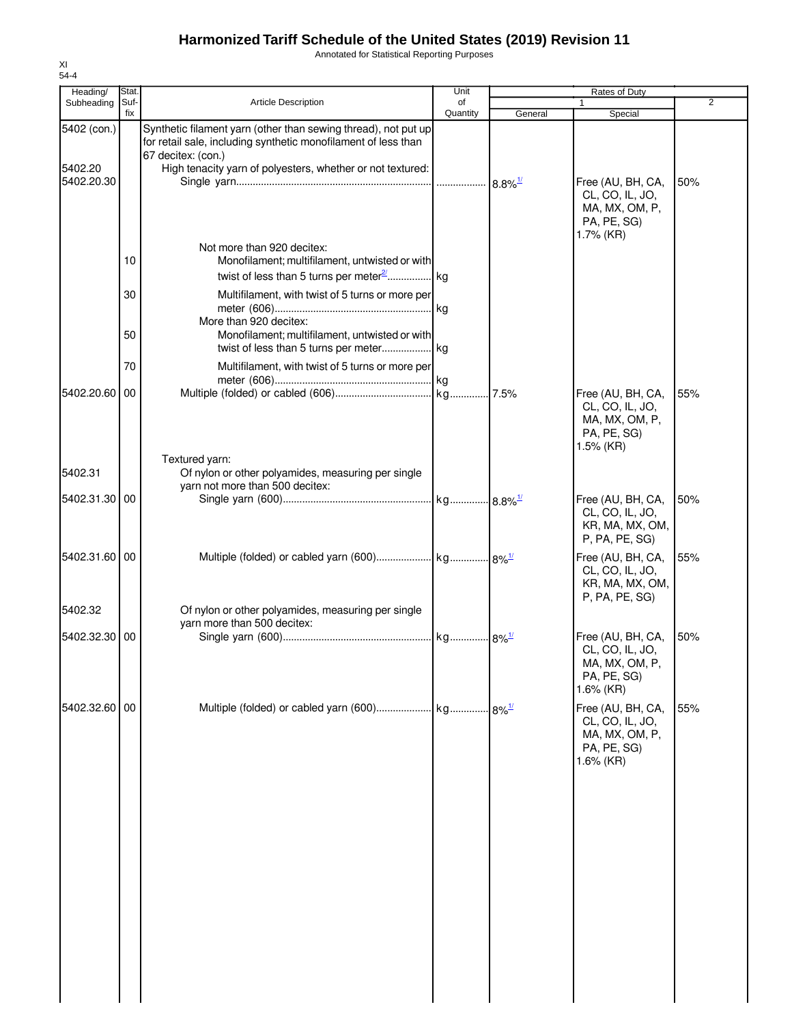Annotated for Statistical Reporting Purposes

| Heading/               | Stat.       |                                                                                                                                                                                                                      | Unit           | <b>Rates of Duty</b>  |                                                                                       |                |
|------------------------|-------------|----------------------------------------------------------------------------------------------------------------------------------------------------------------------------------------------------------------------|----------------|-----------------------|---------------------------------------------------------------------------------------|----------------|
| Subheading             | Suf-<br>fix | <b>Article Description</b>                                                                                                                                                                                           | of<br>Quantity | General               | 1<br>Special                                                                          | $\overline{2}$ |
| 5402 (con.)<br>5402.20 |             | Synthetic filament yarn (other than sewing thread), not put up<br>for retail sale, including synthetic monofilament of less than<br>67 decitex: (con.)<br>High tenacity yarn of polyesters, whether or not textured: |                |                       |                                                                                       |                |
| 5402.20.30             |             |                                                                                                                                                                                                                      |                | $8.8\%$ <sup>1/</sup> | Free (AU, BH, CA,<br>CL, CO, IL, JO,<br>MA, MX, OM, P,<br>PA, PE, SG)<br>1.7% (KR)    | 50%            |
|                        | 10          | Not more than 920 decitex:<br>Monofilament; multifilament, untwisted or with                                                                                                                                         |                |                       |                                                                                       |                |
|                        | 30          | Multifilament, with twist of 5 turns or more per<br>More than 920 decitex:                                                                                                                                           |                |                       |                                                                                       |                |
|                        | 50          | Monofilament; multifilament, untwisted or with                                                                                                                                                                       |                |                       |                                                                                       |                |
|                        | 70          | Multifilament, with twist of 5 turns or more per                                                                                                                                                                     |                |                       |                                                                                       |                |
| 5402.20.60 00          |             |                                                                                                                                                                                                                      |                |                       | Free (AU, BH, CA,<br>CL, CO, IL, JO,<br>MA, MX, OM, P,<br>PA, PE, SG)<br>1.5% (KR)    | 55%            |
| 5402.31                |             | Textured yarn:<br>Of nylon or other polyamides, measuring per single                                                                                                                                                 |                |                       |                                                                                       |                |
| 5402.31.30 00          |             | yarn not more than 500 decitex:                                                                                                                                                                                      |                |                       | Free (AU, BH, CA,                                                                     | 50%            |
|                        |             |                                                                                                                                                                                                                      |                |                       | CL, CO, IL, JO,<br>KR, MA, MX, OM,<br>P, PA, PE, SG)                                  |                |
| 5402.31.60 00          |             |                                                                                                                                                                                                                      |                |                       | Free (AU, BH, CA,<br>CL, CO, IL, JO,<br>KR, MA, MX, OM,<br>P, PA, PE, SG)             | 55%            |
| 5402.32                |             | Of nylon or other polyamides, measuring per single<br>yarn more than 500 decitex:                                                                                                                                    |                |                       |                                                                                       |                |
| 5402.32.30 00          |             |                                                                                                                                                                                                                      |                |                       | Free (AU, BH, CA,<br>CL, CO, IL, JO,<br>MA, MX, OM, P,<br>PA, PE, SG)<br>1.6% (KR)    | 50%            |
| 5402.32.60             | 00          |                                                                                                                                                                                                                      |                | $8\%$ <sup>1/</sup>   | Free (AU, BH, CA,<br>CL, CO, IL, JO,<br>MA, MX, OM, P,<br>PA, PE, SG)<br>$1.6\%$ (KR) | 55%            |
|                        |             |                                                                                                                                                                                                                      |                |                       |                                                                                       |                |
|                        |             |                                                                                                                                                                                                                      |                |                       |                                                                                       |                |
|                        |             |                                                                                                                                                                                                                      |                |                       |                                                                                       |                |
|                        |             |                                                                                                                                                                                                                      |                |                       |                                                                                       |                |
|                        |             |                                                                                                                                                                                                                      |                |                       |                                                                                       |                |
|                        |             |                                                                                                                                                                                                                      |                |                       |                                                                                       |                |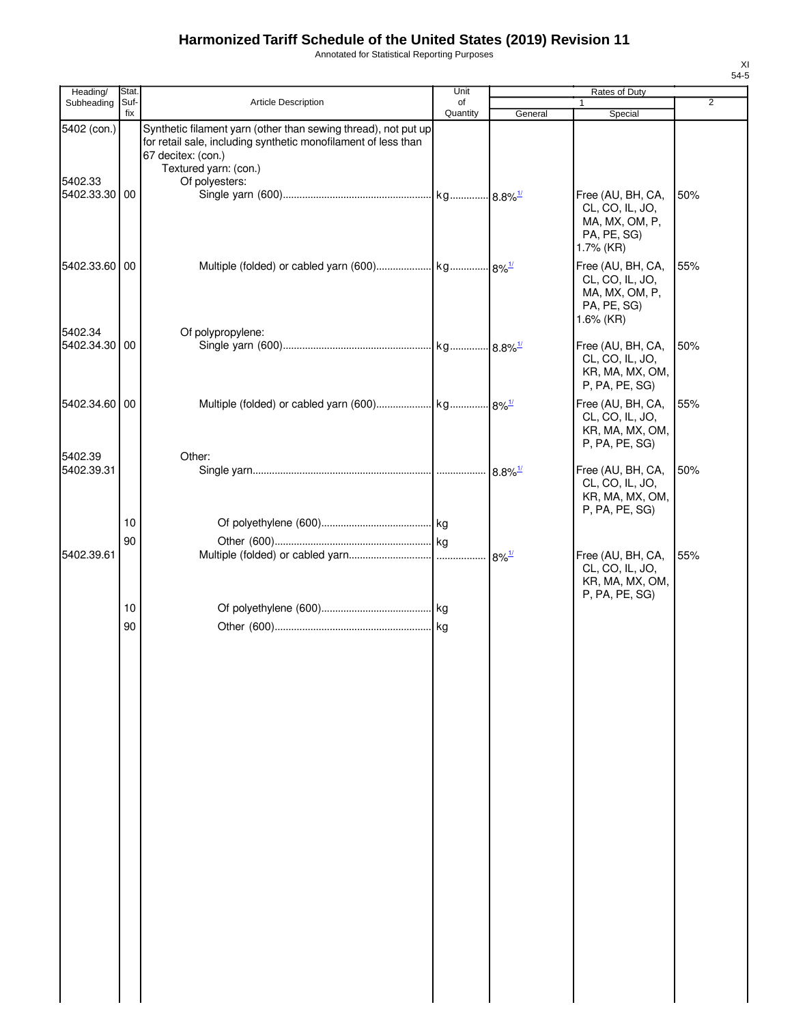Annotated for Statistical Reporting Purposes

| Heading/                 | Stat.       |                                                                                                                                                                                 | Unit           | Rates of Duty |                                                                                    |                |
|--------------------------|-------------|---------------------------------------------------------------------------------------------------------------------------------------------------------------------------------|----------------|---------------|------------------------------------------------------------------------------------|----------------|
| Subheading               | Suf-<br>fix | <b>Article Description</b>                                                                                                                                                      | of<br>Quantity | General       | $\mathbf{1}$<br>Special                                                            | $\overline{2}$ |
| 5402 (con.)              |             | Synthetic filament yarn (other than sewing thread), not put up<br>for retail sale, including synthetic monofilament of less than<br>67 decitex: (con.)<br>Textured yarn: (con.) |                |               |                                                                                    |                |
| 5402.33<br>5402.33.30 00 |             | Of polyesters:                                                                                                                                                                  |                |               | Free (AU, BH, CA,<br>CL, CO, IL, JO,<br>MA, MX, OM, P,<br>PA, PE, SG)<br>1.7% (KR) | 50%            |
| 5402.33.60 00            |             |                                                                                                                                                                                 |                |               | Free (AU, BH, CA,<br>CL, CO, IL, JO,<br>MA, MX, OM, P,<br>PA, PE, SG)<br>1.6% (KR) | 55%            |
| 5402.34<br>5402.34.30 00 |             | Of polypropylene:                                                                                                                                                               |                |               | Free (AU, BH, CA,<br>CL, CO, IL, JO,<br>KR, MA, MX, OM,<br>P, PA, PE, SG)          | 50%            |
| 5402.34.60 00            |             |                                                                                                                                                                                 |                |               | Free (AU, BH, CA,<br>CL, CO, IL, JO,<br>KR, MA, MX, OM,<br>P, PA, PE, SG)          | 55%            |
| 5402.39<br>5402.39.31    |             | Other:                                                                                                                                                                          |                |               | Free (AU, BH, CA,<br>CL, CO, IL, JO,<br>KR, MA, MX, OM,<br>P, PA, PE, SG)          | 50%            |
|                          | 10          |                                                                                                                                                                                 |                |               |                                                                                    |                |
| 5402.39.61               | 90          |                                                                                                                                                                                 |                |               | Free (AU, BH, CA,<br>CL, CO, IL, JO,<br>KR, MA, MX, OM,<br>P, PA, PE, SG)          | 55%            |
|                          | 10<br>90    |                                                                                                                                                                                 |                |               |                                                                                    |                |
|                          |             |                                                                                                                                                                                 |                |               |                                                                                    |                |
|                          |             |                                                                                                                                                                                 |                |               |                                                                                    |                |
|                          |             |                                                                                                                                                                                 |                |               |                                                                                    |                |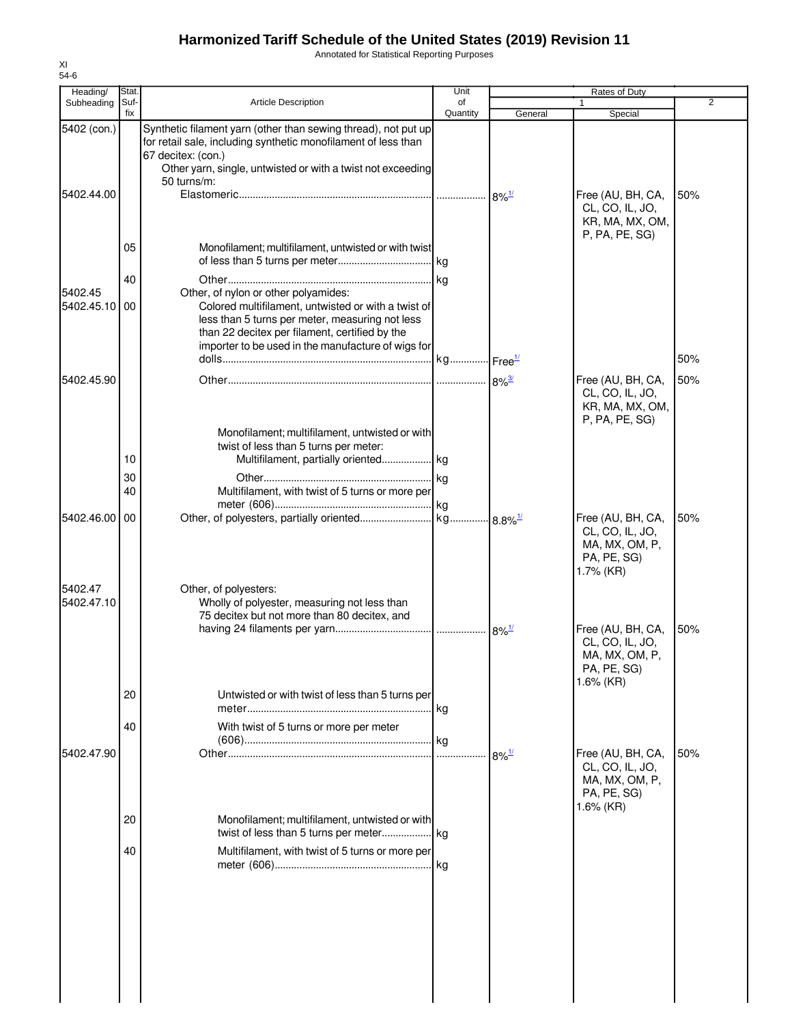Annotated for Statistical Reporting Purposes

| Heading/                 | Stat        |                                                                                                                                                                                                                                                        | Unit           |                     | Rates of Duty                                                                      |     |
|--------------------------|-------------|--------------------------------------------------------------------------------------------------------------------------------------------------------------------------------------------------------------------------------------------------------|----------------|---------------------|------------------------------------------------------------------------------------|-----|
| Subheading               | Suf-<br>fix | <b>Article Description</b>                                                                                                                                                                                                                             | of<br>Quantity | General             | 1                                                                                  | 2   |
| 5402 (con.)              |             | Synthetic filament yarn (other than sewing thread), not put up<br>for retail sale, including synthetic monofilament of less than                                                                                                                       |                |                     | Special                                                                            |     |
| 5402.44.00               |             | 67 decitex: (con.)<br>Other yarn, single, untwisted or with a twist not exceeding<br>50 turns/m:                                                                                                                                                       |                | $8\%$ <sup>1/</sup> | Free (AU, BH, CA,                                                                  | 50% |
|                          | 05          | Monofilament; multifilament, untwisted or with twist                                                                                                                                                                                                   |                |                     | CL, CO, IL, JO,<br>KR, MA, MX, OM,<br>P, PA, PE, SG)                               |     |
|                          |             |                                                                                                                                                                                                                                                        |                |                     |                                                                                    |     |
| 5402.45<br>5402.45.10 00 | 40          | Other, of nylon or other polyamides:<br>Colored multifilament, untwisted or with a twist of<br>less than 5 turns per meter, measuring not less<br>than 22 decitex per filament, certified by the<br>importer to be used in the manufacture of wigs for |                |                     |                                                                                    |     |
|                          |             |                                                                                                                                                                                                                                                        |                |                     |                                                                                    | 50% |
| 5402.45.90               |             |                                                                                                                                                                                                                                                        |                |                     | Free (AU, BH, CA,<br>CL, CO, IL, JO,<br>KR, MA, MX, OM,                            | 50% |
|                          | 10          | Monofilament; multifilament, untwisted or with<br>twist of less than 5 turns per meter:<br>Multifilament, partially oriented kg                                                                                                                        |                |                     | P, PA, PE, SG)                                                                     |     |
|                          | 30<br>40    | Multifilament, with twist of 5 turns or more per                                                                                                                                                                                                       |                |                     |                                                                                    |     |
| 5402.46.00               | 00          |                                                                                                                                                                                                                                                        |                |                     | Free (AU, BH, CA,<br>CL, CO, IL, JO,<br>MA, MX, OM, P,<br>PA, PE, SG)<br>1.7% (KR) | 50% |
| 5402.47<br>5402.47.10    |             | Other, of polyesters:<br>Wholly of polyester, measuring not less than<br>75 decitex but not more than 80 decitex, and                                                                                                                                  |                |                     | Free (AU, BH, CA,                                                                  | 50% |
|                          | 20          | Untwisted or with twist of less than 5 turns per                                                                                                                                                                                                       |                |                     | CL, CO, IL, JO,<br>MA, MX, OM, P,<br>PA, PE, SG)<br>$1.6\%$ (KR)                   |     |
|                          | 40          | With twist of 5 turns or more per meter                                                                                                                                                                                                                |                |                     |                                                                                    |     |
| 5402.47.90               |             |                                                                                                                                                                                                                                                        |                | $8\%$ <sup>1/</sup> | Free (AU, BH, CA,<br>CL, CO, IL, JO,<br>MA, MX, OM, P,                             | 50% |
|                          | 20          | Monofilament; multifilament, untwisted or with                                                                                                                                                                                                         |                |                     | PA, PE, SG)<br>$1.6\%$ (KR)                                                        |     |
|                          | 40          | Multifilament, with twist of 5 turns or more per                                                                                                                                                                                                       |                |                     |                                                                                    |     |
|                          |             |                                                                                                                                                                                                                                                        |                |                     |                                                                                    |     |
|                          |             |                                                                                                                                                                                                                                                        |                |                     |                                                                                    |     |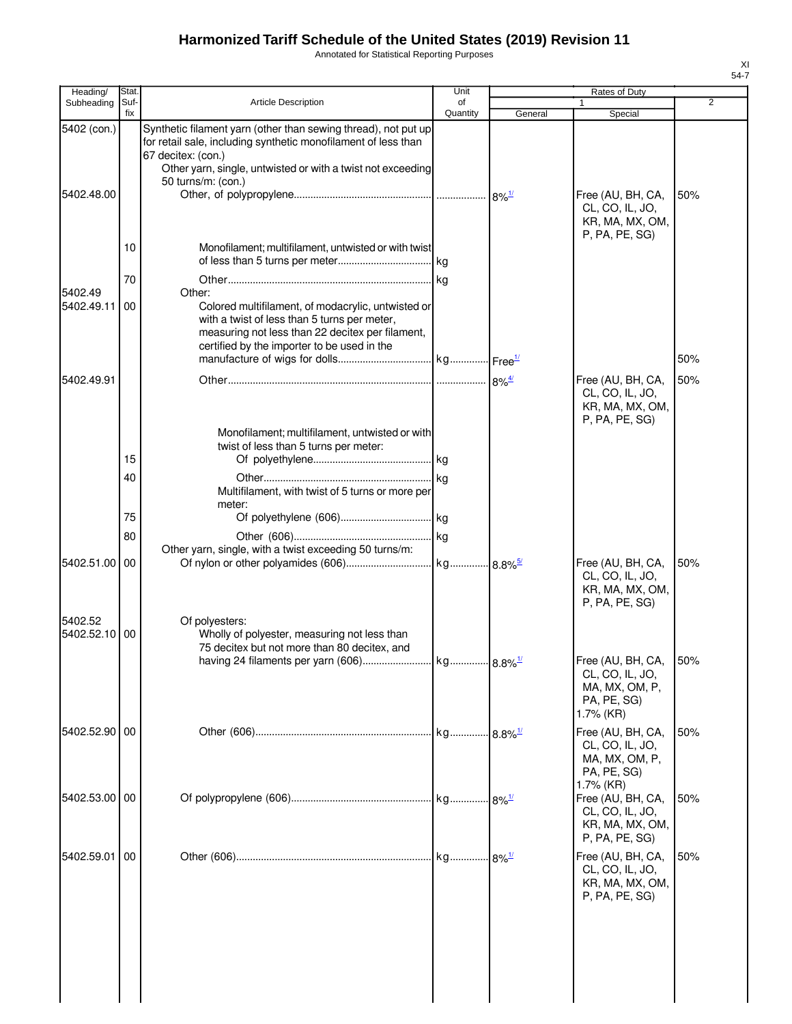Annotated for Statistical Reporting Purposes

| Heading/                 | Stat.       |                                                                                                                                                                                                       | Unit           |                       | Rates of Duty                                                             |                |
|--------------------------|-------------|-------------------------------------------------------------------------------------------------------------------------------------------------------------------------------------------------------|----------------|-----------------------|---------------------------------------------------------------------------|----------------|
| Subheading               | Suf-<br>fix | <b>Article Description</b>                                                                                                                                                                            | of<br>Quantity | General               | 1<br>Special                                                              | $\overline{2}$ |
| 5402 (con.)              |             | Synthetic filament yarn (other than sewing thread), not put up<br>for retail sale, including synthetic monofilament of less than<br>67 decitex: (con.)                                                |                |                       |                                                                           |                |
|                          |             | Other yarn, single, untwisted or with a twist not exceeding                                                                                                                                           |                |                       |                                                                           |                |
|                          |             | 50 turns/m: (con.)                                                                                                                                                                                    |                |                       |                                                                           |                |
| 5402.48.00               |             |                                                                                                                                                                                                       |                |                       | Free (AU, BH, CA,<br>CL, CO, IL, JO,<br>KR, MA, MX, OM,<br>P, PA, PE, SG  | 50%            |
|                          | 10          | Monofilament; multifilament, untwisted or with twist                                                                                                                                                  |                |                       |                                                                           |                |
|                          | 70          |                                                                                                                                                                                                       |                |                       |                                                                           |                |
| 5402.49                  |             | Other:                                                                                                                                                                                                |                |                       |                                                                           |                |
| 5402.49.11               | 00          | Colored multifilament, of modacrylic, untwisted or<br>with a twist of less than 5 turns per meter,<br>measuring not less than 22 decitex per filament,<br>certified by the importer to be used in the |                |                       |                                                                           |                |
|                          |             |                                                                                                                                                                                                       |                |                       |                                                                           | 50%            |
| 5402.49.91               |             |                                                                                                                                                                                                       |                |                       | Free (AU, BH, CA,                                                         | 50%            |
|                          |             | Monofilament; multifilament, untwisted or with                                                                                                                                                        |                |                       | CL, CO, IL, JO,<br>KR, MA, MX, OM,<br>P, PA, PE, SG)                      |                |
|                          |             | twist of less than 5 turns per meter:                                                                                                                                                                 |                |                       |                                                                           |                |
|                          | 15          |                                                                                                                                                                                                       |                |                       |                                                                           |                |
|                          | 40          | Multifilament, with twist of 5 turns or more per<br>meter:                                                                                                                                            |                |                       |                                                                           |                |
|                          | 75          |                                                                                                                                                                                                       |                |                       |                                                                           |                |
|                          | 80          |                                                                                                                                                                                                       |                |                       |                                                                           |                |
|                          |             | Other yarn, single, with a twist exceeding 50 turns/m:                                                                                                                                                |                |                       |                                                                           |                |
| 5402.51.00               | 00          |                                                                                                                                                                                                       |                |                       | Free (AU, BH, CA,<br>CL, CO, IL, JO,<br>KR, MA, MX, OM,<br>P, PA, PE, SG) | 50%            |
| 5402.52<br>5402.52.10 00 |             | Of polyesters:<br>Wholly of polyester, measuring not less than<br>75 decitex but not more than 80 decitex, and<br>having 24 filaments per yarn (606)                                                  | kg             | $8.8\%$ <sup>1/</sup> | Free (AU, BH, CA, 50%                                                     |                |
|                          |             |                                                                                                                                                                                                       |                |                       | CL, CO, IL, JO,<br>MA, MX, OM, P,<br>PA, PE, SG)<br>1.7% (KR)             |                |
| 5402.52.90 00            |             |                                                                                                                                                                                                       |                |                       | Free (AU, BH, CA,                                                         | 50%            |
|                          |             |                                                                                                                                                                                                       |                |                       | CL, CO, IL, JO,<br>MA, MX, OM, P,<br>PA, PE, SG)<br>1.7% (KR)             |                |
| 5402.53.00 00            |             |                                                                                                                                                                                                       |                |                       | Free (AU, BH, CA,<br>CL, CO, IL, JO,<br>KR, MA, MX, OM,<br>P, PA, PE, SG) | 50%            |
| 5402.59.01               | 00          |                                                                                                                                                                                                       |                |                       | Free (AU, BH, CA,<br>CL, CO, IL, JO,<br>KR, MA, MX, OM,<br>P, PA, PE, SG  | 50%            |
|                          |             |                                                                                                                                                                                                       |                |                       |                                                                           |                |
|                          |             |                                                                                                                                                                                                       |                |                       |                                                                           |                |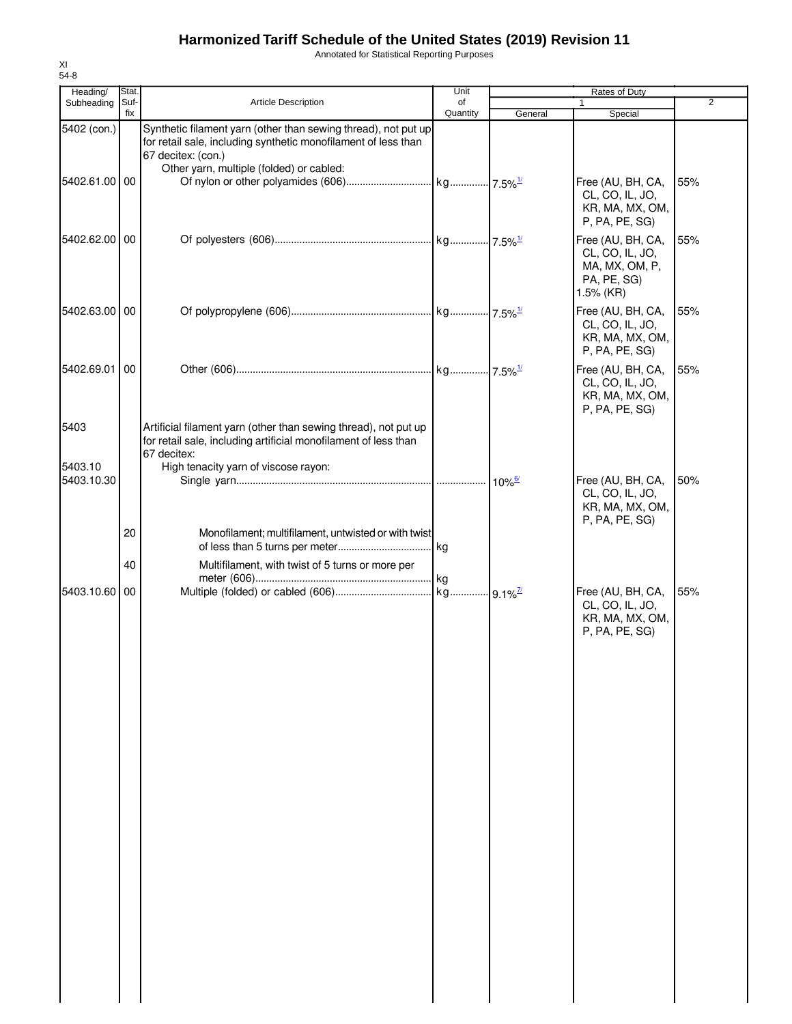Annotated for Statistical Reporting Purposes

| Heading/              | Stat.       |                                                                                                                                                        | Unit           | Rates of Duty        |                                                                                    |                |
|-----------------------|-------------|--------------------------------------------------------------------------------------------------------------------------------------------------------|----------------|----------------------|------------------------------------------------------------------------------------|----------------|
| Subheading            | Suf-<br>fix | Article Description                                                                                                                                    | of<br>Quantity | General              | 1<br>Special                                                                       | $\overline{2}$ |
| 5402 (con.)           |             | Synthetic filament yarn (other than sewing thread), not put up<br>for retail sale, including synthetic monofilament of less than<br>67 decitex: (con.) |                |                      |                                                                                    |                |
| 5402.61.00 00         |             | Other yarn, multiple (folded) or cabled:                                                                                                               |                |                      | Free (AU, BH, CA,<br>CL, CO, IL, JO,<br>KR, MA, MX, OM,<br>P, PA, PE, SG)          | 55%            |
| 5402.62.00 00         |             |                                                                                                                                                        |                |                      | Free (AU, BH, CA,<br>CL, CO, IL, JO,<br>MA, MX, OM, P,<br>PA, PE, SG)<br>1.5% (KR) | 55%            |
| 5402.63.00 00         |             |                                                                                                                                                        |                |                      | Free (AU, BH, CA,<br>CL, CO, IL, JO,<br>KR, MA, MX, OM,<br>P, PA, PE, SG)          | 55%            |
| 5402.69.01 00         |             |                                                                                                                                                        |                |                      | Free (AU, BH, CA,<br>CL, CO, IL, JO,<br>KR, MA, MX, OM,<br>P, PA, PE, SG)          | 55%            |
| 5403                  |             | Artificial filament yarn (other than sewing thread), not put up<br>for retail sale, including artificial monofilament of less than<br>67 decitex:      |                |                      |                                                                                    |                |
| 5403.10<br>5403.10.30 |             | High tenacity yarn of viscose rayon:                                                                                                                   |                | $10\%$ <sup>6/</sup> | Free (AU, BH, CA,<br>CL, CO, IL, JO,<br>KR, MA, MX, OM,<br>P, PA, PE, SG)          | 50%            |
|                       | 20          | Monofilament; multifilament, untwisted or with twist                                                                                                   |                |                      |                                                                                    |                |
| 5403.10.60 00         | 40          | Multifilament, with twist of 5 turns or more per                                                                                                       |                |                      | Free (AU, BH, CA,<br>CL, CO, IL, JO,                                               | 55%            |
|                       |             |                                                                                                                                                        |                |                      | KR, MA, MX, OM,<br>P, PA, PE, SG)                                                  |                |
|                       |             |                                                                                                                                                        |                |                      |                                                                                    |                |
|                       |             |                                                                                                                                                        |                |                      |                                                                                    |                |
|                       |             |                                                                                                                                                        |                |                      |                                                                                    |                |
|                       |             |                                                                                                                                                        |                |                      |                                                                                    |                |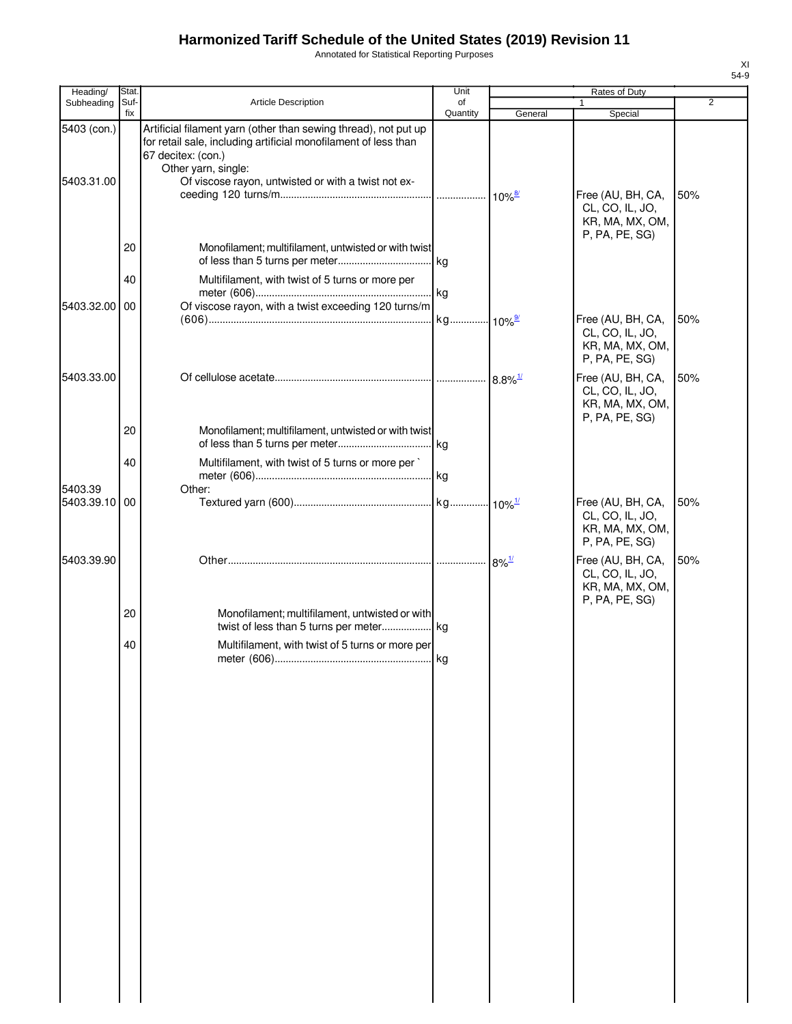Annotated for Statistical Reporting Purposes

| Heading/                  | Stat.       |                                                                                                                                                                                                                                        | Unit                 | <b>Rates of Duty</b>  |                                                                           |                |
|---------------------------|-------------|----------------------------------------------------------------------------------------------------------------------------------------------------------------------------------------------------------------------------------------|----------------------|-----------------------|---------------------------------------------------------------------------|----------------|
| Subheading                | Suf-<br>fix | Article Description                                                                                                                                                                                                                    | of<br>Quantity       | General               | Special                                                                   | $\overline{2}$ |
| 5403 (con.)<br>5403.31.00 |             | Artificial filament yarn (other than sewing thread), not put up<br>for retail sale, including artificial monofilament of less than<br>67 decitex: (con.)<br>Other yarn, single:<br>Of viscose rayon, untwisted or with a twist not ex- |                      |                       | Free (AU, BH, CA,                                                         | 50%            |
|                           |             |                                                                                                                                                                                                                                        |                      |                       | CL, CO, IL, JO,<br>KR, MA, MX, OM,<br>P, PA, PE, SG)                      |                |
|                           | 20          | Monofilament; multifilament, untwisted or with twist                                                                                                                                                                                   |                      |                       |                                                                           |                |
|                           | 40          | Multifilament, with twist of 5 turns or more per                                                                                                                                                                                       |                      |                       |                                                                           |                |
| 5403.32.00 00             |             | Of viscose rayon, with a twist exceeding 120 turns/m                                                                                                                                                                                   | kg 10% <sup>9/</sup> |                       | Free (AU, BH, CA,<br>CL, CO, IL, JO,<br>KR, MA, MX, OM,<br>P, PA, PE, SG) | 50%            |
| 5403.33.00                |             |                                                                                                                                                                                                                                        |                      | $8.8\%$ <sup>1/</sup> | Free (AU, BH, CA,<br>CL, CO, IL, JO,<br>KR, MA, MX, OM,<br>P, PA, PE, SG) | 50%            |
|                           | 20<br>40    | Monofilament; multifilament, untwisted or with twist<br>Multifilament, with twist of 5 turns or more per                                                                                                                               | . kg                 |                       |                                                                           |                |
| 5403.39                   |             | Other:                                                                                                                                                                                                                                 |                      |                       |                                                                           |                |
| 5403.39.10 00             |             |                                                                                                                                                                                                                                        |                      |                       | Free (AU, BH, CA,<br>CL, CO, IL, JO,<br>KR, MA, MX, OM,<br>P, PA, PE, SG) | 50%            |
| 5403.39.90                |             |                                                                                                                                                                                                                                        |                      | $.8\%$ <sup>1/</sup>  | Free (AU, BH, CA,<br>CL, CO, IL, JO,<br>KR, MA, MX, OM,<br>P, PA, PE, SG) | 50%            |
|                           | 20          | Monofilament; multifilament, untwisted or with                                                                                                                                                                                         |                      |                       |                                                                           |                |
|                           | 40          | Multifilament, with twist of 5 turns or more per                                                                                                                                                                                       |                      |                       |                                                                           |                |
|                           |             |                                                                                                                                                                                                                                        |                      |                       |                                                                           |                |
|                           |             |                                                                                                                                                                                                                                        |                      |                       |                                                                           |                |
|                           |             |                                                                                                                                                                                                                                        |                      |                       |                                                                           |                |
|                           |             |                                                                                                                                                                                                                                        |                      |                       |                                                                           |                |
|                           |             |                                                                                                                                                                                                                                        |                      |                       |                                                                           |                |
|                           |             |                                                                                                                                                                                                                                        |                      |                       |                                                                           |                |
|                           |             |                                                                                                                                                                                                                                        |                      |                       |                                                                           |                |
|                           |             |                                                                                                                                                                                                                                        |                      |                       |                                                                           |                |
|                           |             |                                                                                                                                                                                                                                        |                      |                       |                                                                           |                |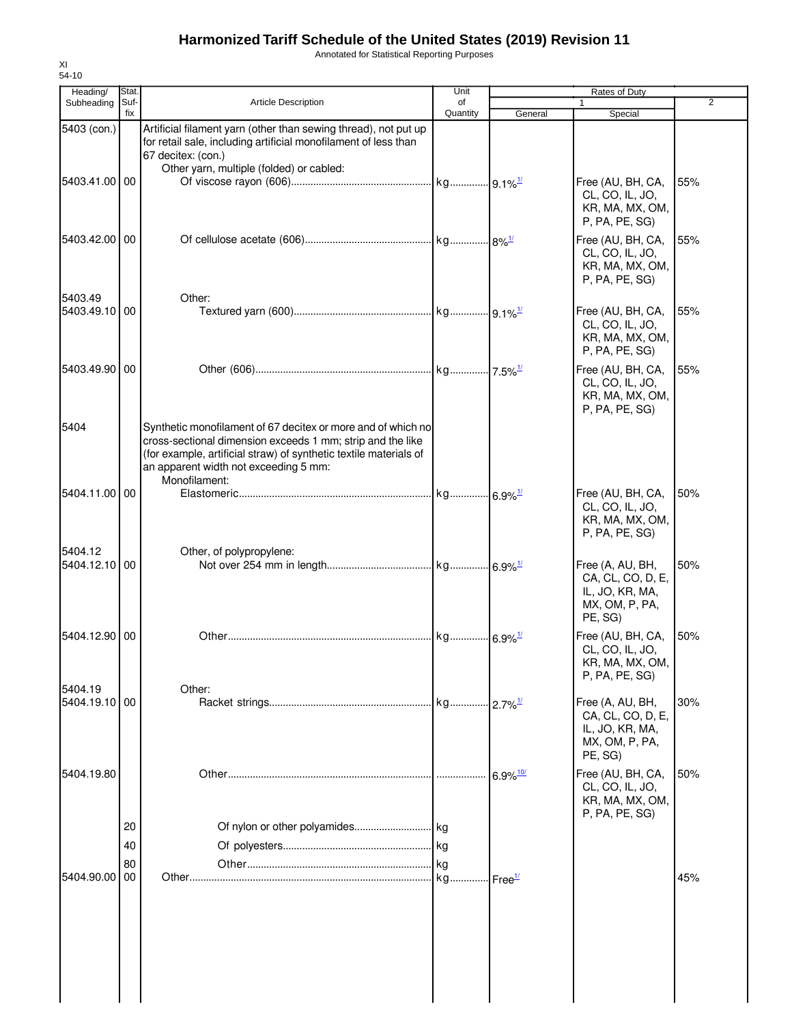Annotated for Statistical Reporting Purposes

| Heading/                 | Stat.       |                                                                                                                                                                                                                                                           | Unit                  | Rates of Duty          |                                                                                       |                |
|--------------------------|-------------|-----------------------------------------------------------------------------------------------------------------------------------------------------------------------------------------------------------------------------------------------------------|-----------------------|------------------------|---------------------------------------------------------------------------------------|----------------|
| Subheading               | Suf-<br>fix | <b>Article Description</b>                                                                                                                                                                                                                                | of<br>Quantity        | General                | 1<br>Special                                                                          | $\overline{2}$ |
| 5403 (con.)              |             | Artificial filament yarn (other than sewing thread), not put up<br>for retail sale, including artificial monofilament of less than<br>67 decitex: (con.)                                                                                                  |                       |                        |                                                                                       |                |
| 5403.41.00 00            |             | Other yarn, multiple (folded) or cabled:                                                                                                                                                                                                                  |                       |                        | Free (AU, BH, CA,<br>CL, CO, IL, JO,<br>KR, MA, MX, OM,<br>P, PA, PE, SG)             | 55%            |
| 5403.42.00 00            |             |                                                                                                                                                                                                                                                           |                       |                        | Free (AU, BH, CA,<br>CL, CO, IL, JO,<br>KR, MA, MX, OM,<br>P, PA, PE, SG)             | 55%            |
| 5403.49<br>5403.49.10 00 |             | Other:                                                                                                                                                                                                                                                    |                       |                        | Free (AU, BH, CA,<br>CL, CO, IL, JO,<br>KR, MA, MX, OM,<br>P, PA, PE, SG)             | 55%            |
| 5403.49.90 00            |             |                                                                                                                                                                                                                                                           |                       |                        | Free (AU, BH, CA,<br>CL, CO, IL, JO,<br>KR, MA, MX, OM,<br>P, PA, PE, SG)             | 55%            |
| 5404                     |             | Synthetic monofilament of 67 decitex or more and of which no<br>cross-sectional dimension exceeds 1 mm; strip and the like<br>(for example, artificial straw) of synthetic textile materials of<br>an apparent width not exceeding 5 mm:<br>Monofilament: |                       |                        |                                                                                       |                |
| 5404.11.00 00            |             |                                                                                                                                                                                                                                                           | kg 6.9% <sup>1/</sup> |                        | Free (AU, BH, CA,<br>CL, CO, IL, JO,<br>KR, MA, MX, OM,<br>P, PA, PE, SG)             | 50%            |
| 5404.12<br>5404.12.10 00 |             | Other, of polypropylene:                                                                                                                                                                                                                                  |                       |                        | Free (A, AU, BH,<br>CA, CL, CO, D, E,<br>IL, JO, KR, MA,<br>MX, OM, P, PA,<br>PE, SG) | 50%            |
| 5404.12.90 00            |             |                                                                                                                                                                                                                                                           | kg 6.9% <sup>1/</sup> |                        | Free (AU, BH, CA,<br>CL, CO, IL, JO,<br>KR, MA, MX, OM,<br>P, PA, PE, SG)             | 50%            |
| 5404.19                  |             | Other:                                                                                                                                                                                                                                                    |                       |                        |                                                                                       |                |
| 5404.19.10 00            |             |                                                                                                                                                                                                                                                           |                       |                        | Free (A, AU, BH,<br>CA, CL, CO, D, E,<br>IL, JO, KR, MA,<br>MX, OM, P, PA,<br>PE, SG) | 30%            |
| 5404.19.80               |             |                                                                                                                                                                                                                                                           |                       | $6.9\%$ <sup>10/</sup> | Free (AU, BH, CA,<br>CL, CO, IL, JO,<br>KR, MA, MX, OM,<br>P, PA, PE, SG)             | 50%            |
|                          | 20          |                                                                                                                                                                                                                                                           |                       |                        |                                                                                       |                |
|                          | 40          |                                                                                                                                                                                                                                                           |                       |                        |                                                                                       |                |
| 5404.90.00               | 80<br>00    |                                                                                                                                                                                                                                                           | kg<br>kg              | ⊶lFree <del>™</del>    |                                                                                       | 45%            |
|                          |             |                                                                                                                                                                                                                                                           |                       |                        |                                                                                       |                |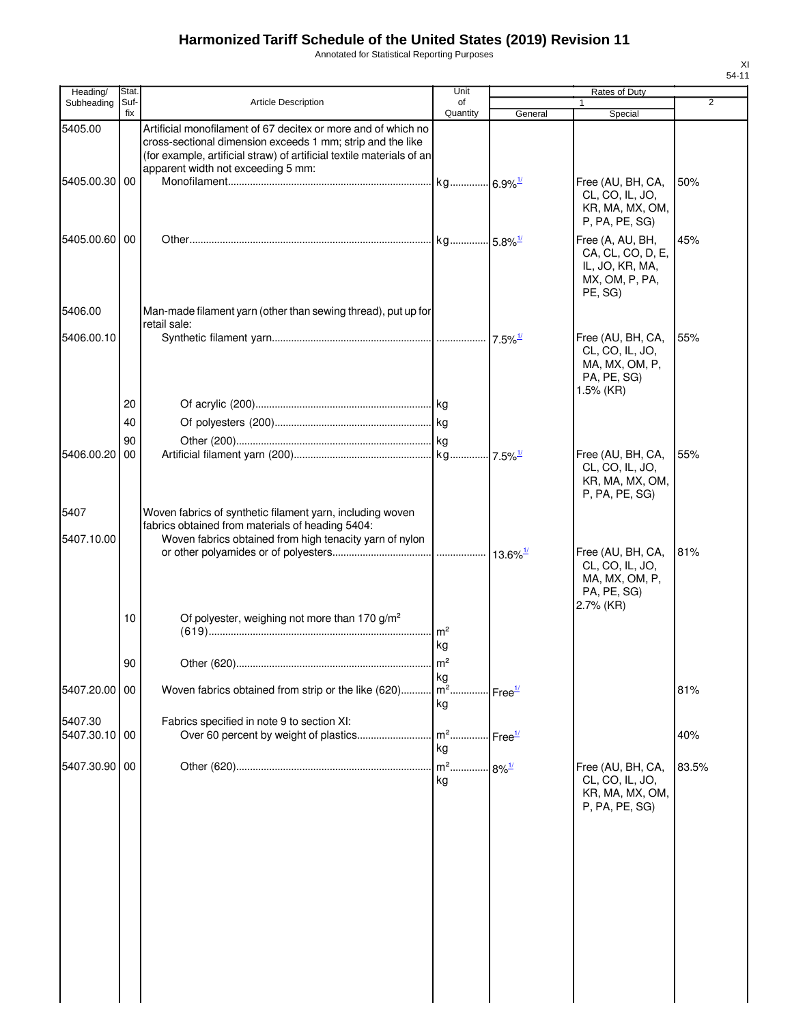Annotated for Statistical Reporting Purposes

| Heading/      | Stat.       |                                                                                                                                                                                                                                            | Unit            |                            | Rates of Duty                                                                         |                |
|---------------|-------------|--------------------------------------------------------------------------------------------------------------------------------------------------------------------------------------------------------------------------------------------|-----------------|----------------------------|---------------------------------------------------------------------------------------|----------------|
| Subheading    | Suf-<br>fix | Article Description                                                                                                                                                                                                                        | of<br>Quantity  | General                    |                                                                                       | $\overline{2}$ |
| 5405.00       |             | Artificial monofilament of 67 decitex or more and of which no<br>cross-sectional dimension exceeds 1 mm; strip and the like<br>(for example, artificial straw) of artificial textile materials of an<br>apparent width not exceeding 5 mm: |                 |                            | Special                                                                               |                |
| 5405.00.30    | 00          |                                                                                                                                                                                                                                            |                 |                            | Free (AU, BH, CA,<br>CL, CO, IL, JO,<br>KR, MA, MX, OM,<br>P, PA, PE, SG)             | 50%            |
| 5405.00.60 00 |             |                                                                                                                                                                                                                                            |                 |                            | Free (A, AU, BH,<br>CA, CL, CO, D, E,<br>IL, JO, KR, MA,<br>MX, OM, P, PA,<br>PE, SG) | 45%            |
| 5406.00       |             | Man-made filament yarn (other than sewing thread), put up for<br>retail sale:                                                                                                                                                              |                 |                            |                                                                                       |                |
| 5406.00.10    |             |                                                                                                                                                                                                                                            |                 |                            | Free (AU, BH, CA,<br>CL, CO, IL, JO,<br>MA, MX, OM, P,<br>PA, PE, SG)<br>1.5% (KR)    | 55%            |
|               | 20          |                                                                                                                                                                                                                                            |                 |                            |                                                                                       |                |
|               | 40          |                                                                                                                                                                                                                                            |                 |                            |                                                                                       |                |
|               | 90          |                                                                                                                                                                                                                                            |                 |                            |                                                                                       |                |
| 5406.00.20    | 00          |                                                                                                                                                                                                                                            |                 |                            | Free (AU, BH, CA,<br>CL, CO, IL, JO,<br>KR, MA, MX, OM,<br>P, PA, PE, SG)             | 55%            |
| 5407          |             | Woven fabrics of synthetic filament yarn, including woven                                                                                                                                                                                  |                 |                            |                                                                                       |                |
| 5407.10.00    |             | fabrics obtained from materials of heading 5404:<br>Woven fabrics obtained from high tenacity yarn of nylon                                                                                                                                |                 |                            |                                                                                       |                |
|               |             |                                                                                                                                                                                                                                            |                 |                            | Free (AU, BH, CA,<br>CL, CO, IL, JO,<br>MA, MX, OM, P,<br>PA, PE, SG)<br>2.7% (KR)    | 81%            |
|               | 10          | Of polyester, weighing not more than 170 g/m <sup>2</sup>                                                                                                                                                                                  | m <sup>2</sup>  |                            |                                                                                       |                |
|               |             |                                                                                                                                                                                                                                            | kg              |                            |                                                                                       |                |
|               | 90          | Other (620)                                                                                                                                                                                                                                | m <sup>2</sup>  |                            |                                                                                       |                |
|               |             |                                                                                                                                                                                                                                            | kg              |                            |                                                                                       |                |
| 5407.20.00    | 00          | Woven fabrics obtained from strip or the like (620)                                                                                                                                                                                        | $m2$ .<br>kg    | Free <sup>1/</sup>         |                                                                                       | 81%            |
| 5407.30       |             | Fabrics specified in note 9 to section XI:                                                                                                                                                                                                 |                 |                            |                                                                                       |                |
| 5407.30.10 00 |             |                                                                                                                                                                                                                                            | m <sup>2</sup>  | $\cdot$ Free $\frac{1}{2}$ |                                                                                       | 40%            |
|               |             |                                                                                                                                                                                                                                            | kg              |                            |                                                                                       |                |
| 5407.30.90    | 00          |                                                                                                                                                                                                                                            | $m2$<br>.<br>kg | $8\%$ <sup>1/</sup>        | Free (AU, BH, CA,<br>CL, CO, IL, JO,<br>KR, MA, MX, OM,<br>P, PA, PE, SG)             | 83.5%          |
|               |             |                                                                                                                                                                                                                                            |                 |                            |                                                                                       |                |
|               |             |                                                                                                                                                                                                                                            |                 |                            |                                                                                       |                |
|               |             |                                                                                                                                                                                                                                            |                 |                            |                                                                                       |                |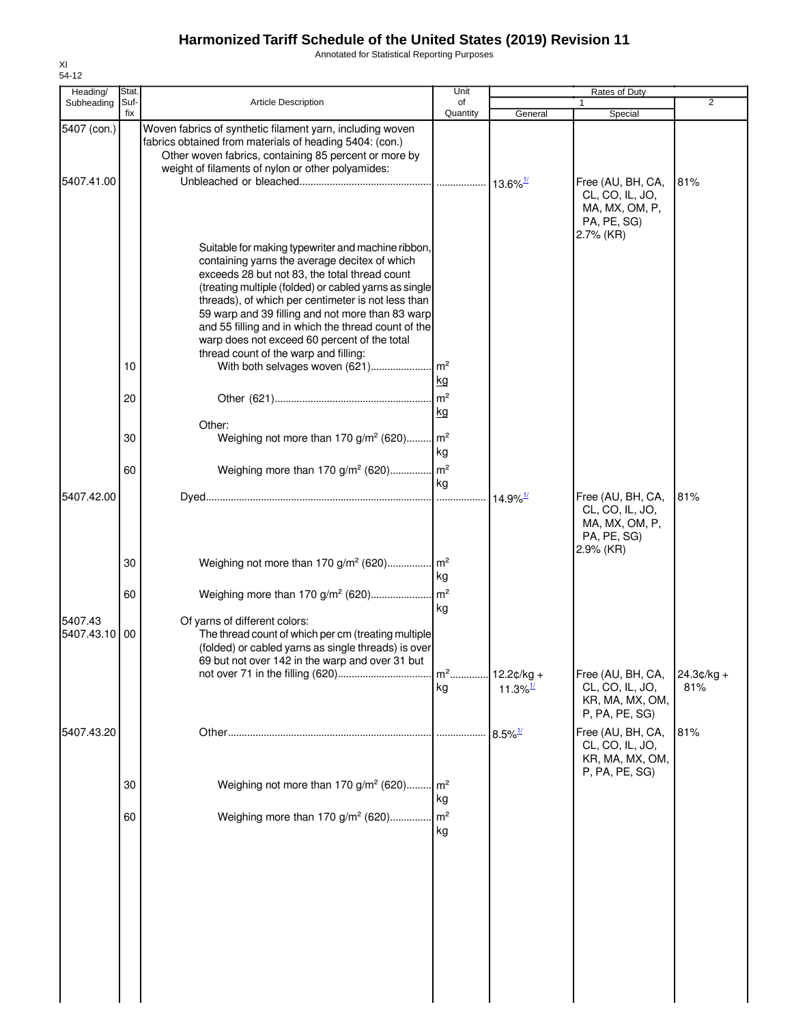Annotated for Statistical Reporting Purposes

| Heading/              | Stat.       |                                                                                                                                                                                                                                                                                                                                                                                                                                                                                                           | Unit                  | Rates of Duty          |                                                                                    |                |
|-----------------------|-------------|-----------------------------------------------------------------------------------------------------------------------------------------------------------------------------------------------------------------------------------------------------------------------------------------------------------------------------------------------------------------------------------------------------------------------------------------------------------------------------------------------------------|-----------------------|------------------------|------------------------------------------------------------------------------------|----------------|
| Subheading            | Suf-<br>fix | <b>Article Description</b>                                                                                                                                                                                                                                                                                                                                                                                                                                                                                | of<br>Quantity        |                        |                                                                                    | $\overline{2}$ |
| 5407 (con.)           |             | Woven fabrics of synthetic filament yarn, including woven<br>fabrics obtained from materials of heading 5404: (con.)<br>Other woven fabrics, containing 85 percent or more by<br>weight of filaments of nylon or other polyamides:                                                                                                                                                                                                                                                                        |                       | General                | Special                                                                            |                |
| 5407.41.00            |             |                                                                                                                                                                                                                                                                                                                                                                                                                                                                                                           |                       |                        | Free (AU, BH, CA,<br>CL, CO, IL, JO,<br>MA, MX, OM, P,<br>PA, PE, SG)<br>2.7% (KR) | 81%            |
|                       | 10          | Suitable for making typewriter and machine ribbon,<br>containing yarns the average decitex of which<br>exceeds 28 but not 83, the total thread count<br>(treating multiple (folded) or cabled yarns as single<br>threads), of which per centimeter is not less than<br>59 warp and 39 filling and not more than 83 warp<br>and 55 filling and in which the thread count of the<br>warp does not exceed 60 percent of the total<br>thread count of the warp and filling:<br>With both selvages woven (621) | $\mathsf{Im}^2$       |                        |                                                                                    |                |
|                       |             |                                                                                                                                                                                                                                                                                                                                                                                                                                                                                                           | kg                    |                        |                                                                                    |                |
|                       | 20          |                                                                                                                                                                                                                                                                                                                                                                                                                                                                                                           |                       |                        |                                                                                    |                |
|                       |             | Other:                                                                                                                                                                                                                                                                                                                                                                                                                                                                                                    | kg                    |                        |                                                                                    |                |
|                       | 30          | Weighing not more than 170 g/m <sup>2</sup> (620)                                                                                                                                                                                                                                                                                                                                                                                                                                                         | m <sup>2</sup><br>kg  |                        |                                                                                    |                |
| 5407.42.00            | 60          | Weighing more than 170 g/m <sup>2</sup> (620) m <sup>2</sup>                                                                                                                                                                                                                                                                                                                                                                                                                                              | kg                    | $14.9\%$ <sup>1/</sup> | Free (AU, BH, CA,                                                                  | 81%            |
|                       |             |                                                                                                                                                                                                                                                                                                                                                                                                                                                                                                           |                       |                        | CL, CO, IL, JO,<br>MA, MX, OM, P,<br>PA, PE, SG)<br>2.9% (KR)                      |                |
|                       | 30          | Weighing not more than 170 g/m <sup>2</sup> (620)                                                                                                                                                                                                                                                                                                                                                                                                                                                         | $\mathsf{Im}^2$<br>kg |                        |                                                                                    |                |
|                       | 60          |                                                                                                                                                                                                                                                                                                                                                                                                                                                                                                           | kg                    |                        |                                                                                    |                |
| 5407.43<br>5407.43.10 | 00          | Of yarns of different colors:<br>The thread count of which per cm (treating multiple<br>(folded) or cabled yarns as single threads) is over<br>69 but not over 142 in the warp and over 31 but                                                                                                                                                                                                                                                                                                            | $m2$                  | $12.2¢/kg +$           | Free (AU, BH, CA,                                                                  | $24.3¢/kg +$   |
|                       |             |                                                                                                                                                                                                                                                                                                                                                                                                                                                                                                           | kg                    | 11.3% $\frac{1}{2}$    | CL, CO, IL, JO,<br>KR, MA, MX, OM,<br>P, PA, PE, SG)                               | 81%            |
| 5407.43.20            |             |                                                                                                                                                                                                                                                                                                                                                                                                                                                                                                           |                       | $8.5\%$ <sup>1/</sup>  | Free (AU, BH, CA,<br>CL, CO, IL, JO,<br>KR, MA, MX, OM,                            | 81%            |
|                       | 30          | Weighing not more than 170 g/m <sup>2</sup> (620)                                                                                                                                                                                                                                                                                                                                                                                                                                                         | $\mathsf{Im}^2$<br>kg |                        | P, PA, PE, SG)                                                                     |                |
|                       | 60          | Weighing more than 170 g/m <sup>2</sup> (620)                                                                                                                                                                                                                                                                                                                                                                                                                                                             | $\mathsf{Im}^2$<br>kg |                        |                                                                                    |                |
|                       |             |                                                                                                                                                                                                                                                                                                                                                                                                                                                                                                           |                       |                        |                                                                                    |                |
|                       |             |                                                                                                                                                                                                                                                                                                                                                                                                                                                                                                           |                       |                        |                                                                                    |                |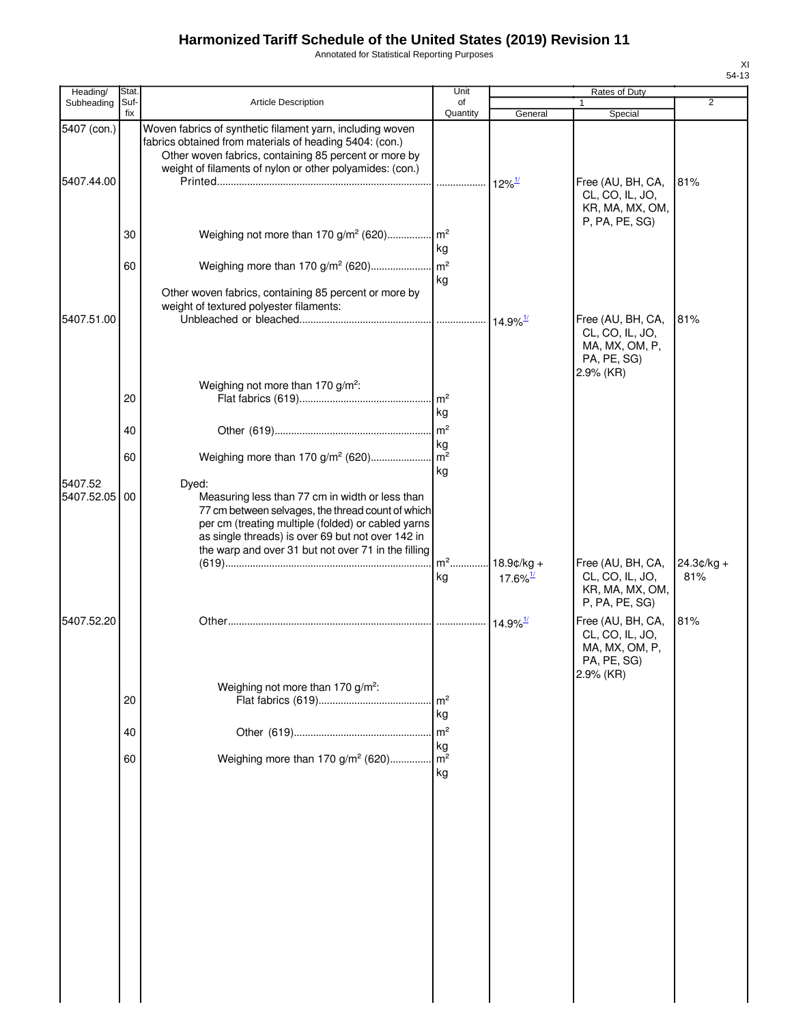Annotated for Statistical Reporting Purposes

| Heading/                  | <b>Stat</b> |                                                                                                                                                                                                                                                                                 | Unit                 |                        | Rates of Duty                                                                         |                   |
|---------------------------|-------------|---------------------------------------------------------------------------------------------------------------------------------------------------------------------------------------------------------------------------------------------------------------------------------|----------------------|------------------------|---------------------------------------------------------------------------------------|-------------------|
| Subheading                | Suf-<br>fix | <b>Article Description</b>                                                                                                                                                                                                                                                      | οf<br>Quantity       | General                | 1<br>Special                                                                          | $\overline{2}$    |
| 5407 (con.)<br>5407.44.00 |             | Woven fabrics of synthetic filament yarn, including woven<br>fabrics obtained from materials of heading 5404: (con.)<br>Other woven fabrics, containing 85 percent or more by<br>weight of filaments of nylon or other polyamides: (con.)                                       |                      |                        | Free (AU, BH, CA,<br>CL, CO, IL, JO,<br>KR, MA, MX, OM,                               | 81%               |
|                           | 30          | Weighing not more than 170 g/m <sup>2</sup> (620) m <sup>2</sup>                                                                                                                                                                                                                | kg                   |                        | P, PA, PE, SG)                                                                        |                   |
|                           | 60          | Other woven fabrics, containing 85 percent or more by<br>weight of textured polyester filaments:                                                                                                                                                                                | kg                   |                        |                                                                                       |                   |
| 5407.51.00                |             |                                                                                                                                                                                                                                                                                 |                      |                        | Free (AU, BH, CA,<br>CL, CO, IL, JO,<br>MA, MX, OM, P,<br>PA, PE, SG)<br>$2.9\%$ (KR) | 81%               |
|                           | 20          | Weighing not more than 170 g/m <sup>2</sup> :                                                                                                                                                                                                                                   | kg                   |                        |                                                                                       |                   |
|                           | 40<br>60    |                                                                                                                                                                                                                                                                                 | kg                   |                        |                                                                                       |                   |
| 5407.52<br>5407.52.05     | 00          | Dyed:<br>Measuring less than 77 cm in width or less than<br>77 cm between selvages, the thread count of which<br>per cm (treating multiple (folded) or cabled yarns<br>as single threads) is over 69 but not over 142 in<br>the warp and over 31 but not over 71 in the filling | kg                   |                        |                                                                                       |                   |
|                           |             |                                                                                                                                                                                                                                                                                 | kg                   | $17.6\%$ <sup>1/</sup> | Free (AU, BH, CA,<br>CL, CO, IL, JO,<br>KR, MA, MX, OM,<br>P, PA, PE, SG)             | 24.3¢/kg +<br>81% |
| 5407.52.20                |             |                                                                                                                                                                                                                                                                                 |                      | $14.9\%$ <sup>1/</sup> | Free (AU, BH, CA,<br>CL, CO, IL, JO,<br>MA, MX, OM, P,<br>PA, PE, SG)                 | 81%               |
|                           | 20          | Weighing not more than 170 g/m <sup>2</sup> :                                                                                                                                                                                                                                   | m <sup>2</sup><br>kg |                        | 2.9% (KR)                                                                             |                   |
|                           | 40          |                                                                                                                                                                                                                                                                                 | m <sup>2</sup><br>kg |                        |                                                                                       |                   |
|                           | 60          | Weighing more than 170 g/m <sup>2</sup> (620)                                                                                                                                                                                                                                   | m <sup>2</sup><br>kg |                        |                                                                                       |                   |
|                           |             |                                                                                                                                                                                                                                                                                 |                      |                        |                                                                                       |                   |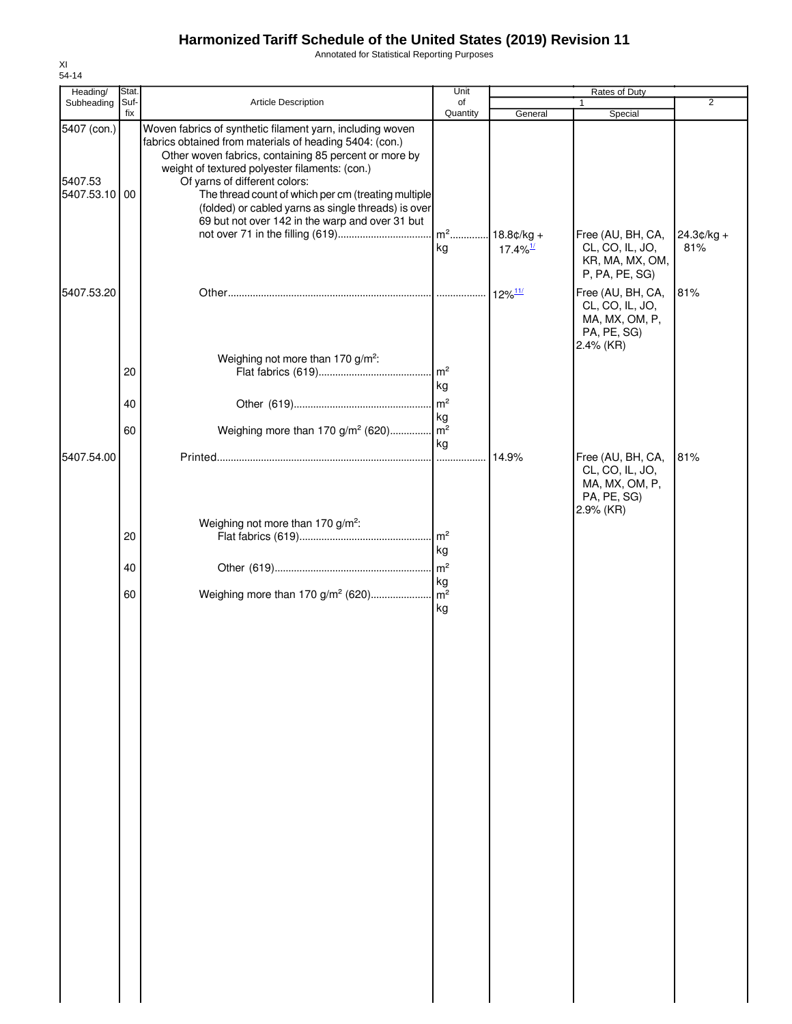Annotated for Statistical Reporting Purposes

| Heading/                             | Stat.       |                                                                                                                                                                                                                                                                                                                                                                                                                                   | Unit                     |                                        | Rates of Duty                                                                      |                     |
|--------------------------------------|-------------|-----------------------------------------------------------------------------------------------------------------------------------------------------------------------------------------------------------------------------------------------------------------------------------------------------------------------------------------------------------------------------------------------------------------------------------|--------------------------|----------------------------------------|------------------------------------------------------------------------------------|---------------------|
| Subheading                           | Suf-<br>fix | Article Description                                                                                                                                                                                                                                                                                                                                                                                                               | of<br>Quantity           | General                                | 1<br>Special                                                                       | $\overline{2}$      |
| 5407 (con.)<br>5407.53<br>5407.53.10 | 00          | Woven fabrics of synthetic filament yarn, including woven<br>fabrics obtained from materials of heading 5404: (con.)<br>Other woven fabrics, containing 85 percent or more by<br>weight of textured polyester filaments: (con.)<br>Of yarns of different colors:<br>The thread count of which per cm (treating multiple<br>(folded) or cabled yarns as single threads) is over<br>69 but not over 142 in the warp and over 31 but | $\mathsf{Im}^2$<br>kg    | $18.8¢/kg +$<br>$17.4\%$ <sup>1/</sup> | Free (AU, BH, CA,<br>CL, CO, IL, JO,<br>KR, MA, MX, OM,<br>P, PA, PE, SG)          | $24.3¢/kg +$<br>81% |
| 5407.53.20                           |             |                                                                                                                                                                                                                                                                                                                                                                                                                                   |                          | $12\%$ <sup>11/</sup>                  | Free (AU, BH, CA,<br>CL, CO, IL, JO,<br>MA, MX, OM, P,<br>PA, PE, SG)<br>2.4% (KR) | 81%                 |
|                                      | 20          | Weighing not more than 170 g/m <sup>2</sup> :                                                                                                                                                                                                                                                                                                                                                                                     | $\mathsf{Im}^2$<br>kg    |                                        |                                                                                    |                     |
|                                      | 40          |                                                                                                                                                                                                                                                                                                                                                                                                                                   | m <sup>2</sup><br>kg     |                                        |                                                                                    |                     |
|                                      | 60          | Weighing more than 170 g/m <sup>2</sup> (620)                                                                                                                                                                                                                                                                                                                                                                                     | $\mathsf{m}^2$           |                                        |                                                                                    |                     |
| 5407.54.00                           |             |                                                                                                                                                                                                                                                                                                                                                                                                                                   | kg                       | 14.9%                                  | Free (AU, BH, CA,<br>CL, CO, IL, JO,<br>MA, MX, OM, P,<br>PA, PE, SG)<br>2.9% (KR) | 81%                 |
|                                      | 20          | Weighing not more than 170 g/m <sup>2</sup> :                                                                                                                                                                                                                                                                                                                                                                                     | $\mathsf{Im}^2$<br>kg    |                                        |                                                                                    |                     |
|                                      | 40          |                                                                                                                                                                                                                                                                                                                                                                                                                                   | m <sup>2</sup>           |                                        |                                                                                    |                     |
|                                      | 60          | Weighing more than 170 g/m <sup>2</sup> (620)                                                                                                                                                                                                                                                                                                                                                                                     | kg<br>$\sqrt{m^2}$<br>kg |                                        |                                                                                    |                     |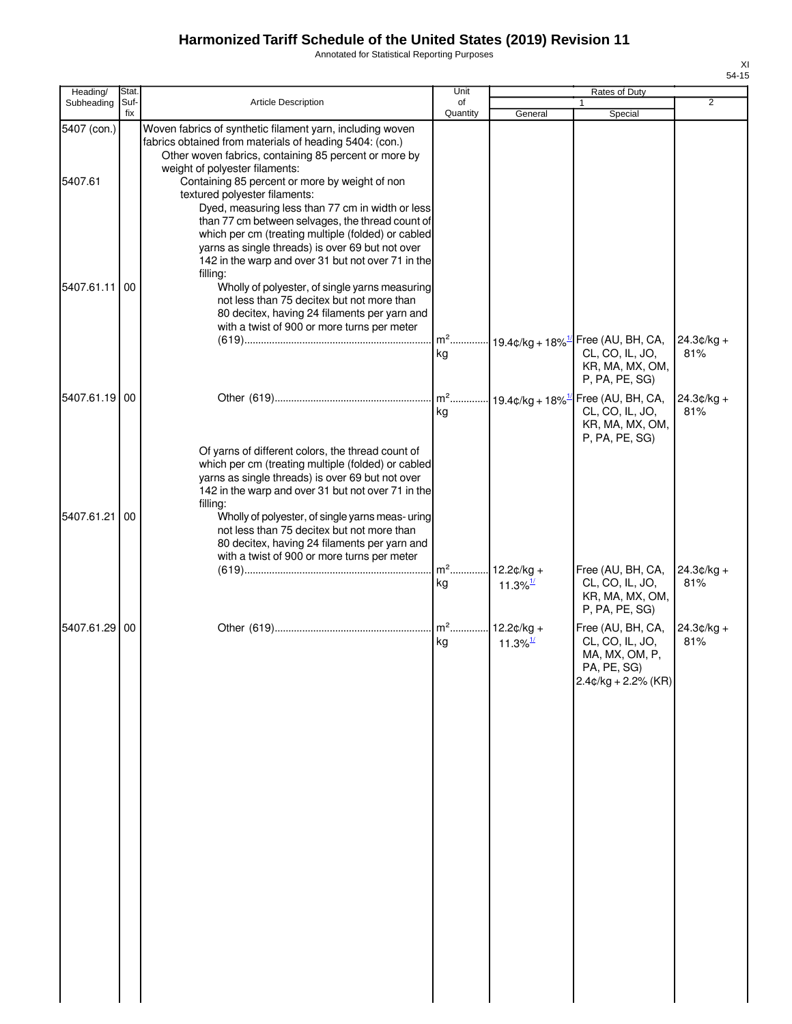Annotated for Statistical Reporting Purposes

| Heading/               | Stat.       |                                                                                                                                                                                                                                                                                                                                                                                                                                                                  | Unit           |                                        | Rates of Duty                                                                                                         |                      |
|------------------------|-------------|------------------------------------------------------------------------------------------------------------------------------------------------------------------------------------------------------------------------------------------------------------------------------------------------------------------------------------------------------------------------------------------------------------------------------------------------------------------|----------------|----------------------------------------|-----------------------------------------------------------------------------------------------------------------------|----------------------|
| Subheading             | Suf-<br>fix | <b>Article Description</b>                                                                                                                                                                                                                                                                                                                                                                                                                                       | of<br>Quantity | General                                | Special                                                                                                               | $\overline{2}$       |
| 5407 (con.)<br>5407.61 |             | Woven fabrics of synthetic filament yarn, including woven<br>fabrics obtained from materials of heading 5404: (con.)<br>Other woven fabrics, containing 85 percent or more by<br>weight of polyester filaments:<br>Containing 85 percent or more by weight of non<br>textured polyester filaments:<br>Dyed, measuring less than 77 cm in width or less<br>than 77 cm between selvages, the thread count of<br>which per cm (treating multiple (folded) or cabled |                |                                        |                                                                                                                       |                      |
| 5407.61.11             | 00          | yarns as single threads) is over 69 but not over<br>142 in the warp and over 31 but not over 71 in the<br>filling:<br>Wholly of polyester, of single yarns measuring<br>not less than 75 decitex but not more than<br>80 decitex, having 24 filaments per yarn and<br>with a twist of 900 or more turns per meter                                                                                                                                                | kg             |                                        | m <sup>2</sup> 19.4¢/kg + 18% <sup>1/</sup> Free (AU, BH, CA,<br>CL, CO, IL, JO,<br>KR, MA, MX, OM,<br>P, PA, PE, SG) | $24.3$ c/kg +<br>81% |
| 5407.61.19 00          |             |                                                                                                                                                                                                                                                                                                                                                                                                                                                                  | $m2$<br>kg     |                                        | $-19.4$ ¢/kg + 18% <sup>1/</sup> Free (AU, BH, CA,<br>CL, CO, IL, JO,                                                 | $24.3¢/kg +$<br>81%  |
| 5407.61.21             | 00          | Of yarns of different colors, the thread count of<br>which per cm (treating multiple (folded) or cabled<br>yarns as single threads) is over 69 but not over<br>142 in the warp and over 31 but not over 71 in the<br>filling:<br>Wholly of polyester, of single yarns meas- uring<br>not less than 75 decitex but not more than<br>80 decitex, having 24 filaments per yarn and<br>with a twist of 900 or more turns per meter                                   | $m2$ .<br>kg   | $12.2¢/kg +$<br>$11.3\%$ <sup>1/</sup> | KR, MA, MX, OM,<br>P, PA, PE, SG)<br>Free (AU, BH, CA,<br>CL, CO, IL, JO,                                             | $24.3¢/kg +$<br>81%  |
|                        |             |                                                                                                                                                                                                                                                                                                                                                                                                                                                                  |                |                                        | KR, MA, MX, OM,<br>P, PA, PE, SG)                                                                                     |                      |
| 5407.61.29 00          |             |                                                                                                                                                                                                                                                                                                                                                                                                                                                                  | $m2$ .<br>kg   | $12.2¢/kg +$<br>11.3% $\frac{1}{2}$    | Free (AU, BH, CA,<br>CL, CO, IL, JO,<br>MA, MX, OM, P,<br>PA, PE, SG)<br>$2.4$ ¢/kg + 2.2% (KR)                       | $24.3¢/kg +$<br>81%  |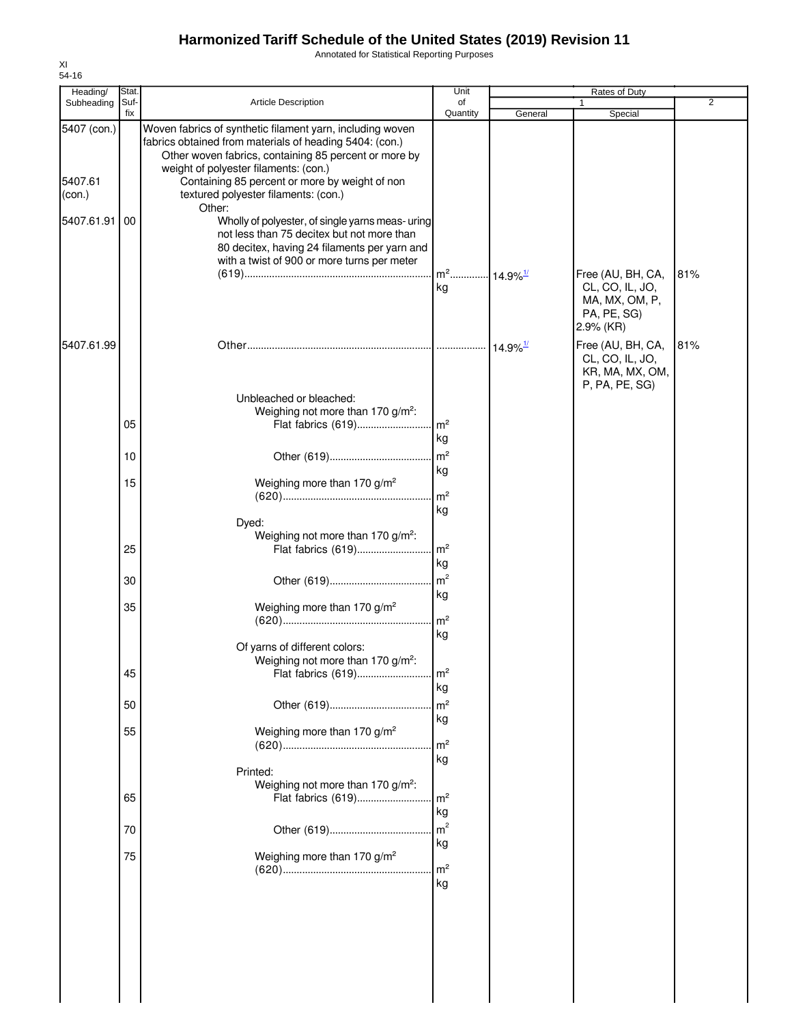Annotated for Statistical Reporting Purposes

| Heading/                         | Stat.       |                                                                                                                                                                                                                                                                                                                  | Unit                                                                    |                        | Rates of Duty                                                                          |                |
|----------------------------------|-------------|------------------------------------------------------------------------------------------------------------------------------------------------------------------------------------------------------------------------------------------------------------------------------------------------------------------|-------------------------------------------------------------------------|------------------------|----------------------------------------------------------------------------------------|----------------|
| Subheading                       | Suf-<br>fix | <b>Article Description</b>                                                                                                                                                                                                                                                                                       | of<br>Quantity                                                          | General                | Special                                                                                | $\overline{2}$ |
| 5407 (con.)<br>5407.61<br>(con.) |             | Woven fabrics of synthetic filament yarn, including woven<br>fabrics obtained from materials of heading 5404: (con.)<br>Other woven fabrics, containing 85 percent or more by<br>weight of polyester filaments: (con.)<br>Containing 85 percent or more by weight of non<br>textured polyester filaments: (con.) |                                                                         |                        |                                                                                        |                |
| 5407.61.91                       | 100         | Other:<br>Wholly of polyester, of single yarns meas- uring<br>not less than 75 decitex but not more than<br>80 decitex, having 24 filaments per yarn and<br>with a twist of 900 or more turns per meter                                                                                                          | m <sup>2</sup> 14.9% <sup>1/</sup><br>kg                                |                        | Free (AU, BH, CA,<br>CL, CO, IL, JO,<br>MA, MX, OM, P,<br>PA, PE, SG)                  | 81%            |
| 5407.61.99                       |             |                                                                                                                                                                                                                                                                                                                  |                                                                         | $14.9\%$ <sup>1/</sup> | 2.9% (KR)<br>Free (AU, BH, CA,<br>CL, CO, IL, JO,<br>KR, MA, MX, OM,<br>P, PA, PE, SG) | 81%            |
|                                  | 05          | Unbleached or bleached:<br>Weighing not more than 170 g/m <sup>2</sup> :<br>Flat fabrics (619)                                                                                                                                                                                                                   | $\mathsf{Im}^2$                                                         |                        |                                                                                        |                |
|                                  | 10          |                                                                                                                                                                                                                                                                                                                  | kg<br>$\mathsf{Im}^2$                                                   |                        |                                                                                        |                |
|                                  | 15          | Weighing more than 170 g/m <sup>2</sup>                                                                                                                                                                                                                                                                          | kg                                                                      |                        |                                                                                        |                |
|                                  | 25<br>30    | Dyed:<br>Weighing not more than 170 g/m <sup>2</sup> :<br>Flat fabrics (619)                                                                                                                                                                                                                                     | m <sup>2</sup><br>kg<br>. $\mathsf{Im}^2$<br>kg<br>m <sup>2</sup><br>kg |                        |                                                                                        |                |
|                                  | 35<br>45    | Weighing more than 170 g/m <sup>2</sup><br>Of yarns of different colors:<br>Weighing not more than 170 g/m <sup>2</sup> :<br>Flat fabrics (619)                                                                                                                                                                  | m <sup>2</sup><br>kg<br>$\mathsf{Im}^2$<br>kg                           |                        |                                                                                        |                |
|                                  | 50          |                                                                                                                                                                                                                                                                                                                  | m <sup>2</sup>                                                          |                        |                                                                                        |                |
|                                  | 55          | Weighing more than 170 g/m <sup>2</sup><br>Printed:                                                                                                                                                                                                                                                              | kg<br>m <sup>2</sup><br>kg                                              |                        |                                                                                        |                |
|                                  | 65          | Weighing not more than 170 g/m <sup>2</sup> :<br>Flat fabrics (619)                                                                                                                                                                                                                                              | $\mathsf{Im}^2$<br>kg                                                   |                        |                                                                                        |                |
|                                  | 70          |                                                                                                                                                                                                                                                                                                                  | m <sup>2</sup>                                                          |                        |                                                                                        |                |
|                                  | 75          | Weighing more than 170 g/m <sup>2</sup>                                                                                                                                                                                                                                                                          | kg<br>m <sup>2</sup><br>kg                                              |                        |                                                                                        |                |
|                                  |             |                                                                                                                                                                                                                                                                                                                  |                                                                         |                        |                                                                                        |                |

XI 54-16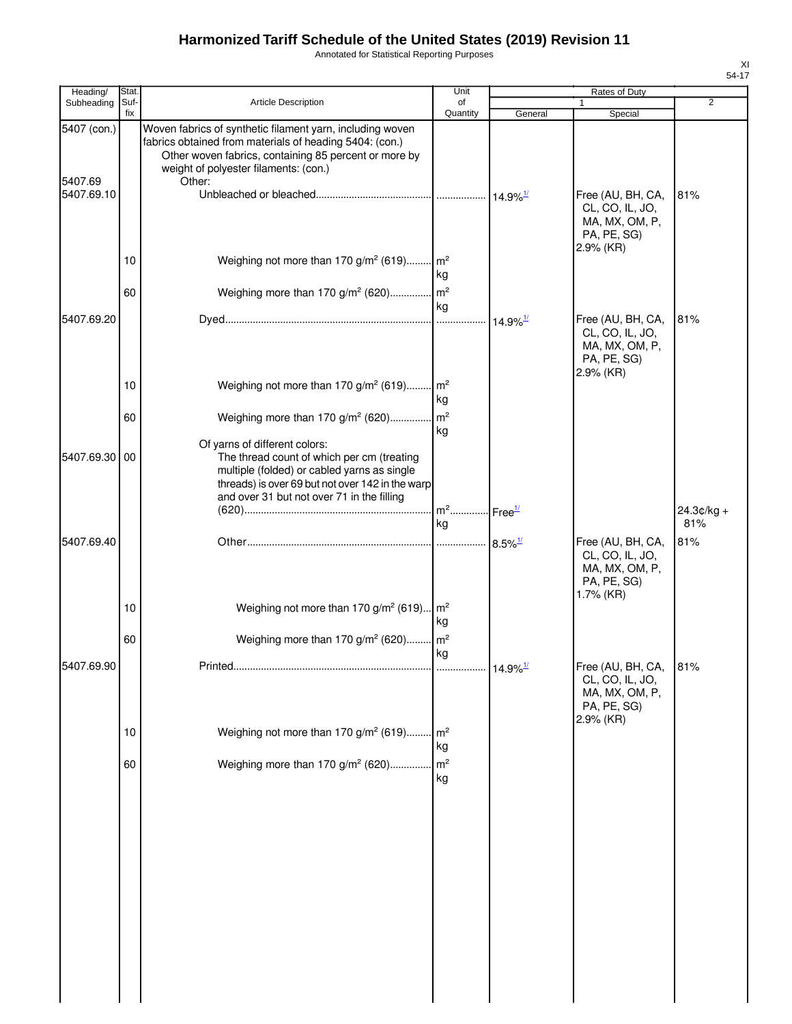Annotated for Statistical Reporting Purposes

| Heading/   | Rates of Duty                                                                                |                       | Unit                 |                                                                                                                                                                                                                                  | Stat        |                                      |
|------------|----------------------------------------------------------------------------------------------|-----------------------|----------------------|----------------------------------------------------------------------------------------------------------------------------------------------------------------------------------------------------------------------------------|-------------|--------------------------------------|
| Subheading | $\overline{2}$<br>1<br>Special                                                               | General               | of<br>Quantity       | <b>Article Description</b>                                                                                                                                                                                                       | Suf-<br>fix |                                      |
|            | Free (AU, BH, CA,<br>81%<br>CL, CO, IL, JO,                                                  |                       |                      | Woven fabrics of synthetic filament yarn, including woven<br>fabrics obtained from materials of heading 5404: (con.)<br>Other woven fabrics, containing 85 percent or more by<br>weight of polyester filaments: (con.)<br>Other: |             | 5407 (con.)<br>5407.69<br>5407.69.10 |
|            | MA, MX, OM, P,<br>PA, PE, SG)<br>2.9% (KR)                                                   |                       | kg                   | Weighing not more than 170 g/m <sup>2</sup> (619) m <sup>2</sup><br>Weighing more than 170 g/m <sup>2</sup> (620) m <sup>2</sup>                                                                                                 | 10<br>60    |                                      |
|            |                                                                                              |                       | kg                   |                                                                                                                                                                                                                                  |             |                                      |
|            | Free (AU, BH, CA,<br>81%<br>CL, CO, IL, JO,<br>MA, MX, OM, P,<br>PA, PE, SG)<br>$2.9\%$ (KR) |                       |                      |                                                                                                                                                                                                                                  |             | 5407.69.20                           |
|            |                                                                                              |                       | kg                   | Weighing not more than 170 g/m <sup>2</sup> (619) m <sup>2</sup>                                                                                                                                                                 | 10          |                                      |
|            |                                                                                              |                       | m <sup>2</sup><br>kg | Weighing more than 170 g/m <sup>2</sup> (620)<br>Of yarns of different colors:                                                                                                                                                   | 60          |                                      |
|            |                                                                                              |                       | $m2$                 | The thread count of which per cm (treating<br>multiple (folded) or cabled yarns as single<br>threads) is over 69 but not over 142 in the warp<br>and over 31 but not over 71 in the filling                                      | 00          | 5407.69.30                           |
|            | $24.3¢/kg +$<br>81%                                                                          | Free <sup>1/</sup>    | kg                   |                                                                                                                                                                                                                                  |             |                                      |
|            | 81%<br>Free (AU, BH, CA,<br>CL, CO, IL, JO,<br>MA, MX, OM, P,<br>PA, PE, SG)                 | $8.5\%$ <sup>1/</sup> |                      |                                                                                                                                                                                                                                  |             | 5407.69.40                           |
|            | 1.7% (KR)                                                                                    |                       | kg                   | Weighing not more than 170 g/m <sup>2</sup> (619) m <sup>2</sup>                                                                                                                                                                 | 10          |                                      |
|            |                                                                                              |                       | kg                   | Weighing more than 170 g/m <sup>2</sup> (620) m <sup>2</sup>                                                                                                                                                                     | 60          |                                      |
|            | Free (AU, BH, CA,<br>81%<br>CL, CO, IL, JO,<br>MA, MX, OM, P,<br>PA, PE, SG)<br>2.9% (KR)    |                       |                      |                                                                                                                                                                                                                                  |             | 5407.69.90                           |
|            |                                                                                              |                       | kg                   | Weighing not more than 170 g/m <sup>2</sup> (619) m <sup>2</sup>                                                                                                                                                                 | 10          |                                      |
|            |                                                                                              |                       | kg                   | Weighing more than 170 g/m <sup>2</sup> (620) m <sup>2</sup>                                                                                                                                                                     | 60          |                                      |
|            |                                                                                              |                       |                      |                                                                                                                                                                                                                                  |             |                                      |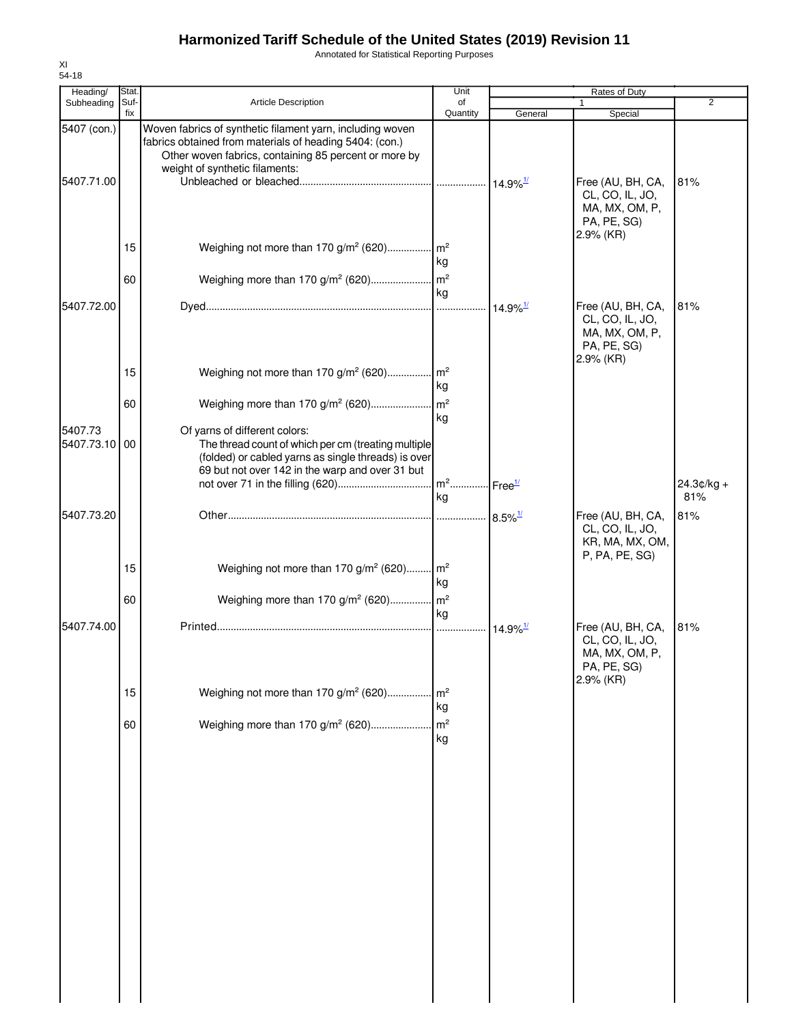Annotated for Statistical Reporting Purposes

| Heading/                  | Stat.       |                                                                                                                                                                                                                 | Unit                 |                             | Rates of Duty                                                                      |                     |
|---------------------------|-------------|-----------------------------------------------------------------------------------------------------------------------------------------------------------------------------------------------------------------|----------------------|-----------------------------|------------------------------------------------------------------------------------|---------------------|
| Subheading                | Suf-<br>fix | Article Description                                                                                                                                                                                             | of<br>Quantity       | General                     | $\mathbf{1}$<br>Special                                                            | $\overline{2}$      |
| 5407 (con.)<br>5407.71.00 |             | Woven fabrics of synthetic filament yarn, including woven<br>fabrics obtained from materials of heading 5404: (con.)<br>Other woven fabrics, containing 85 percent or more by<br>weight of synthetic filaments: |                      |                             | Free (AU, BH, CA,<br>CL, CO, IL, JO,<br>MA, MX, OM, P,<br>PA, PE, SG)              | 81%                 |
|                           | 15<br>60    | Weighing not more than 170 g/m <sup>2</sup> (620) m <sup>2</sup>                                                                                                                                                | kg                   |                             | 2.9% (KR)                                                                          |                     |
| 5407.72.00                |             |                                                                                                                                                                                                                 | kg                   | $\cdot$ 14.9% $\frac{1}{2}$ | Free (AU, BH, CA,<br>CL, CO, IL, JO,<br>MA, MX, OM, P,<br>PA, PE, SG)<br>2.9% (KR) | 81%                 |
|                           | 15          | Weighing not more than 170 g/m <sup>2</sup> (620) m <sup>2</sup>                                                                                                                                                | kg                   |                             |                                                                                    |                     |
| 5407.73<br>5407.73.10     | 60<br>00    | Of yarns of different colors:<br>The thread count of which per cm (treating multiple<br>(folded) or cabled yarns as single threads) is over<br>69 but not over 142 in the warp and over 31 but                  | kg                   |                             |                                                                                    |                     |
|                           |             |                                                                                                                                                                                                                 | kg                   |                             |                                                                                    | $24.3¢/kg +$<br>81% |
| 5407.73.20                |             |                                                                                                                                                                                                                 |                      | $8.5\%$ <sup>1/</sup>       | Free (AU, BH, CA,<br>CL, CO, IL, JO,<br>KR, MA, MX, OM,<br>P, PA, PE, SG)          | 81%                 |
|                           | 15          | Weighing not more than 170 g/m <sup>2</sup> (620) m <sup>2</sup>                                                                                                                                                | kg                   |                             |                                                                                    |                     |
|                           | 60          | Weighing more than 170 g/m <sup>2</sup> (620) m <sup>2</sup>                                                                                                                                                    | kg                   |                             |                                                                                    |                     |
| 5407.74.00                |             |                                                                                                                                                                                                                 | .                    | $14.9\%$ <sup>1/</sup>      | Free (AU, BH, CA,<br>CL, CO, IL, JO,<br>MA, MX, OM, P,<br>PA, PE, SG)<br>2.9% (KR) | 81%                 |
|                           | 15          | Weighing not more than 170 g/m <sup>2</sup> (620)                                                                                                                                                               | m <sup>2</sup><br>kg |                             |                                                                                    |                     |
|                           | 60          | Weighing more than 170 g/m <sup>2</sup> (620)                                                                                                                                                                   | m <sup>2</sup><br>kg |                             |                                                                                    |                     |
|                           |             |                                                                                                                                                                                                                 |                      |                             |                                                                                    |                     |
|                           |             |                                                                                                                                                                                                                 |                      |                             |                                                                                    |                     |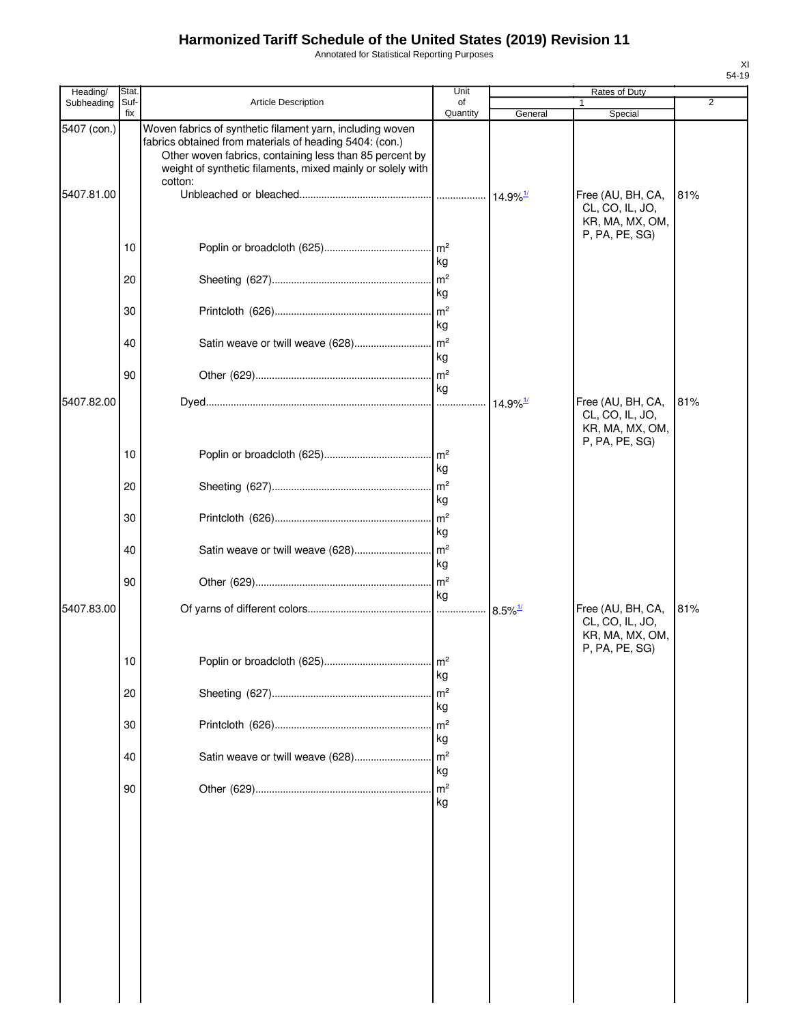Annotated for Statistical Reporting Purposes

| Heading/    | Stat.       |                                                                                                                                                                                                                                                          | Unit                                   |                        | Rates of Duty                                                             |     |
|-------------|-------------|----------------------------------------------------------------------------------------------------------------------------------------------------------------------------------------------------------------------------------------------------------|----------------------------------------|------------------------|---------------------------------------------------------------------------|-----|
| Subheading  | Suf-<br>fix | <b>Article Description</b>                                                                                                                                                                                                                               | of<br>Quantity                         | General                | 1<br>Special                                                              | 2   |
| 5407 (con.) |             | Woven fabrics of synthetic filament yarn, including woven<br>fabrics obtained from materials of heading 5404: (con.)<br>Other woven fabrics, containing less than 85 percent by<br>weight of synthetic filaments, mixed mainly or solely with<br>cotton: |                                        |                        |                                                                           |     |
| 5407.81.00  |             |                                                                                                                                                                                                                                                          |                                        |                        | Free (AU, BH, CA,<br>CL, CO, IL, JO,<br>KR, MA, MX, OM,                   | 81% |
|             | 10          |                                                                                                                                                                                                                                                          | kg                                     |                        | P, PA, PE, SG)                                                            |     |
|             | 20          |                                                                                                                                                                                                                                                          | $\mathsf{Im}^2$<br>kg                  |                        |                                                                           |     |
|             | 30          |                                                                                                                                                                                                                                                          | m <sup>2</sup><br>kg                   |                        |                                                                           |     |
|             | 40          | Satin weave or twill weave (628)                                                                                                                                                                                                                         | m <sup>2</sup><br>kg                   |                        |                                                                           |     |
|             | 90          |                                                                                                                                                                                                                                                          | $\mathsf{Im}^2$<br>kg                  |                        |                                                                           |     |
| 5407.82.00  |             |                                                                                                                                                                                                                                                          | $\cdots$                               | $14.9\%$ <sup>1/</sup> | Free (AU, BH, CA,<br>CL, CO, IL, JO,<br>KR, MA, MX, OM,<br>P, PA, PE, SG) | 81% |
|             | 10          |                                                                                                                                                                                                                                                          | $\mathsf{Im}^2$<br>kg                  |                        |                                                                           |     |
|             | 20          |                                                                                                                                                                                                                                                          | $\mathsf{Im}^2$<br>kg                  |                        |                                                                           |     |
|             | 30          |                                                                                                                                                                                                                                                          | $\mathsf{Im}^2$<br>kg                  |                        |                                                                           |     |
|             | 40          |                                                                                                                                                                                                                                                          | kg                                     |                        |                                                                           |     |
| 5407.83.00  | 90          |                                                                                                                                                                                                                                                          | kg                                     | $8.5\%$ <sup>1/</sup>  | Free (AU, BH, CA,                                                         | 81% |
|             |             |                                                                                                                                                                                                                                                          |                                        |                        | CL, CO, IL, JO,<br>KR, MA, MX, OM,<br>P, PA, PE, SG)                      |     |
|             | 10          |                                                                                                                                                                                                                                                          | $\mathsf{m}^2$<br>kg                   |                        |                                                                           |     |
|             | 20          |                                                                                                                                                                                                                                                          | m <sup>2</sup><br>kg                   |                        |                                                                           |     |
|             | 30<br>40    | Satin weave or twill weave (628)                                                                                                                                                                                                                         | m <sup>2</sup><br>kg<br>m <sup>2</sup> |                        |                                                                           |     |
|             | 90          |                                                                                                                                                                                                                                                          | kg<br>m <sup>2</sup>                   |                        |                                                                           |     |
|             |             |                                                                                                                                                                                                                                                          | kg                                     |                        |                                                                           |     |
|             |             |                                                                                                                                                                                                                                                          |                                        |                        |                                                                           |     |
|             |             |                                                                                                                                                                                                                                                          |                                        |                        |                                                                           |     |
|             |             |                                                                                                                                                                                                                                                          |                                        |                        |                                                                           |     |
|             |             |                                                                                                                                                                                                                                                          |                                        |                        |                                                                           |     |
|             |             |                                                                                                                                                                                                                                                          |                                        |                        |                                                                           |     |
|             |             |                                                                                                                                                                                                                                                          |                                        |                        |                                                                           |     |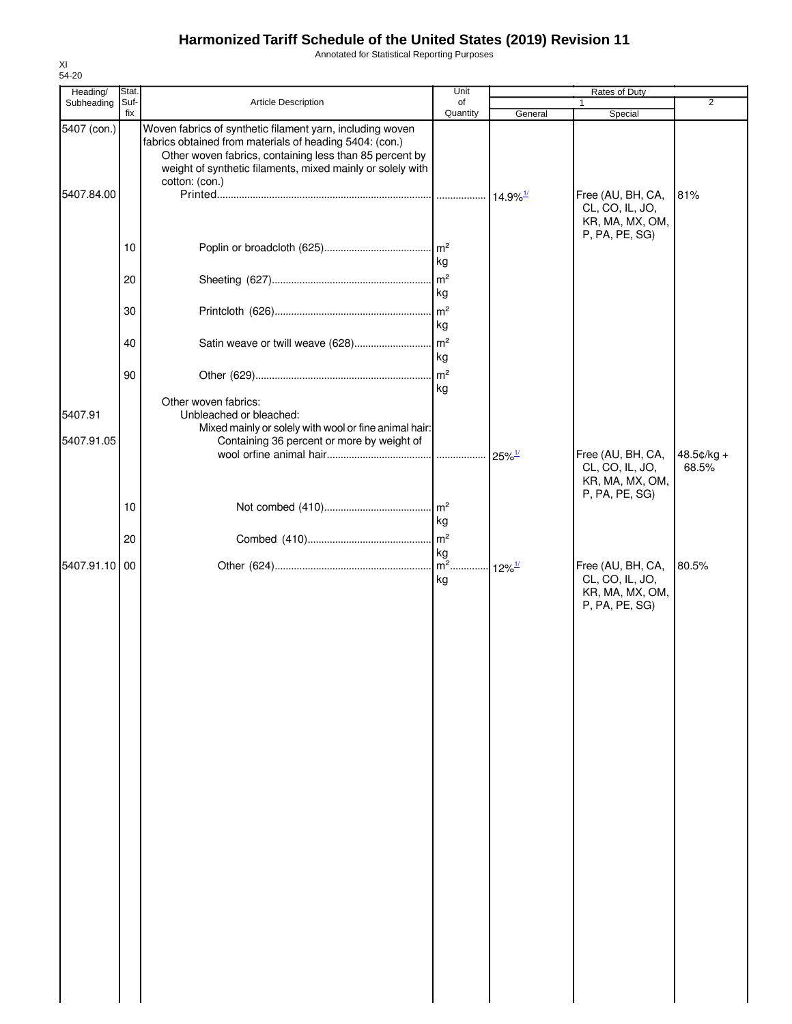Annotated for Statistical Reporting Purposes

| Heading/                  | Stat.       |                                                                                                                                                                                                                                                                 | Unit           |                      | Rates of Duty                                                             |                     |
|---------------------------|-------------|-----------------------------------------------------------------------------------------------------------------------------------------------------------------------------------------------------------------------------------------------------------------|----------------|----------------------|---------------------------------------------------------------------------|---------------------|
| Subheading                | Suf-<br>fix | Article Description                                                                                                                                                                                                                                             | of<br>Quantity | General              | Special                                                                   | $\overline{2}$      |
| 5407 (con.)<br>5407.84.00 |             | Woven fabrics of synthetic filament yarn, including woven<br>fabrics obtained from materials of heading 5404: (con.)<br>Other woven fabrics, containing less than 85 percent by<br>weight of synthetic filaments, mixed mainly or solely with<br>cotton: (con.) |                |                      | Free (AU, BH, CA,<br>CL, CO, IL, JO,                                      | 81%                 |
|                           | 10          |                                                                                                                                                                                                                                                                 |                |                      | KR, MA, MX, OM,<br>P, PA, PE, SG)                                         |                     |
|                           | 20          |                                                                                                                                                                                                                                                                 | kg             |                      |                                                                           |                     |
|                           | 30          |                                                                                                                                                                                                                                                                 | kg<br>kg       |                      |                                                                           |                     |
|                           | 40          |                                                                                                                                                                                                                                                                 | kg             |                      |                                                                           |                     |
|                           | 90          | Other woven fabrics:                                                                                                                                                                                                                                            | kg             |                      |                                                                           |                     |
| 5407.91<br>5407.91.05     |             | Unbleached or bleached:<br>Mixed mainly or solely with wool or fine animal hair:<br>Containing 36 percent or more by weight of                                                                                                                                  |                |                      |                                                                           |                     |
|                           |             |                                                                                                                                                                                                                                                                 |                | $25\%$ <sup>1/</sup> | Free (AU, BH, CA,<br>CL, CO, IL, JO,<br>KR, MA, MX, OM,<br>P, PA, PE, SG) | 48.5¢/kg +<br>68.5% |
|                           | 10          |                                                                                                                                                                                                                                                                 | kg             |                      |                                                                           |                     |
| 5407.91.10 00             | 20          |                                                                                                                                                                                                                                                                 | kg             |                      | Free (AU, BH, CA,                                                         | 80.5%               |
|                           |             |                                                                                                                                                                                                                                                                 | kg             |                      | CL, CO, IL, JO,<br>KR, MA, MX, OM,<br>P, PA, PE, SG)                      |                     |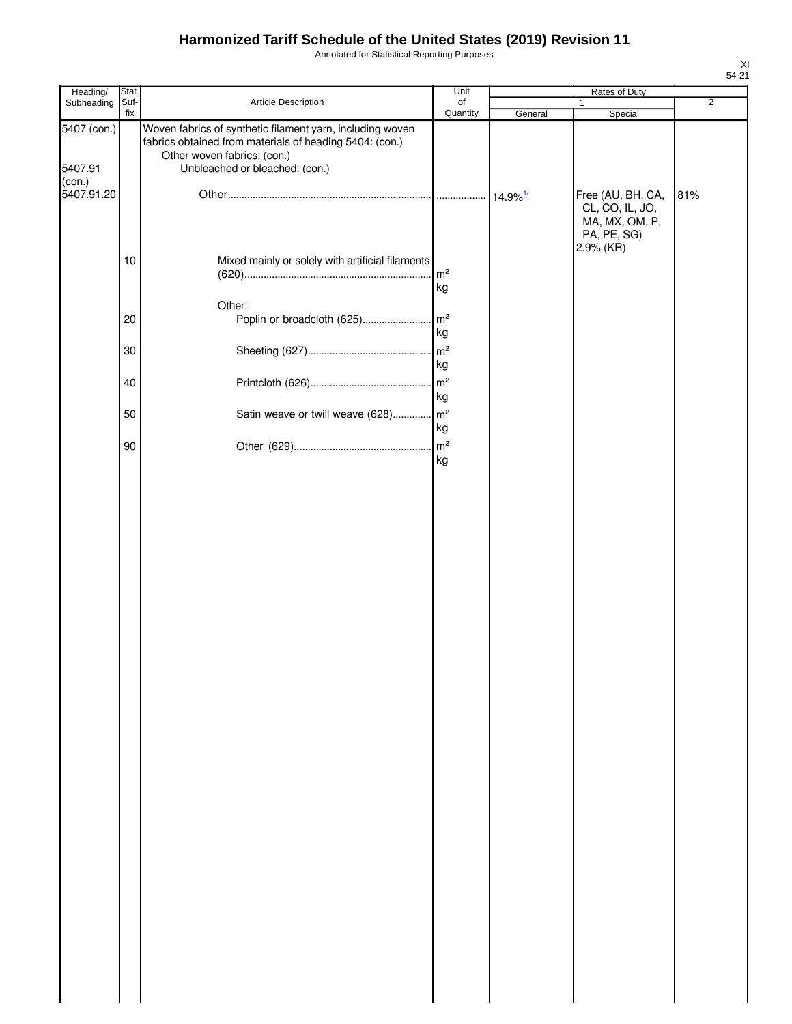Annotated for Statistical Reporting Purposes

| Heading/               | Stat.    |                                                                                                                                                                                       | Unit                 |         | Rates of Duty                                                         |                |
|------------------------|----------|---------------------------------------------------------------------------------------------------------------------------------------------------------------------------------------|----------------------|---------|-----------------------------------------------------------------------|----------------|
| Subheading             | Suf-     | Article Description                                                                                                                                                                   | of                   |         | $\mathbf{1}$                                                          | $\overline{2}$ |
| 5407 (con.)<br>5407.91 | fix      | Woven fabrics of synthetic filament yarn, including woven<br>fabrics obtained from materials of heading 5404: (con.)<br>Other woven fabrics: (con.)<br>Unbleached or bleached: (con.) | Quantity             | General | Special                                                               |                |
| (con.)<br>5407.91.20   |          |                                                                                                                                                                                       |                      |         | Free (AU, BH, CA,<br>CL, CO, IL, JO,<br>MA, MX, OM, P,<br>PA, PE, SG) | 81%            |
|                        | 10       | Mixed mainly or solely with artificial filaments                                                                                                                                      | m <sup>2</sup><br>kg |         | 2.9% (KR)                                                             |                |
|                        | 20       | Other:<br>Poplin or broadcloth (625)                                                                                                                                                  | m <sup>2</sup><br>kg |         |                                                                       |                |
|                        | 30       |                                                                                                                                                                                       | m <sup>2</sup><br>kg |         |                                                                       |                |
|                        | 40<br>50 |                                                                                                                                                                                       | kg<br>$\mathsf{m}^2$ |         |                                                                       |                |
|                        | 90       | Satin weave or twill weave (628)                                                                                                                                                      | kg<br>m <sup>2</sup> |         |                                                                       |                |
|                        |          |                                                                                                                                                                                       |                      |         |                                                                       |                |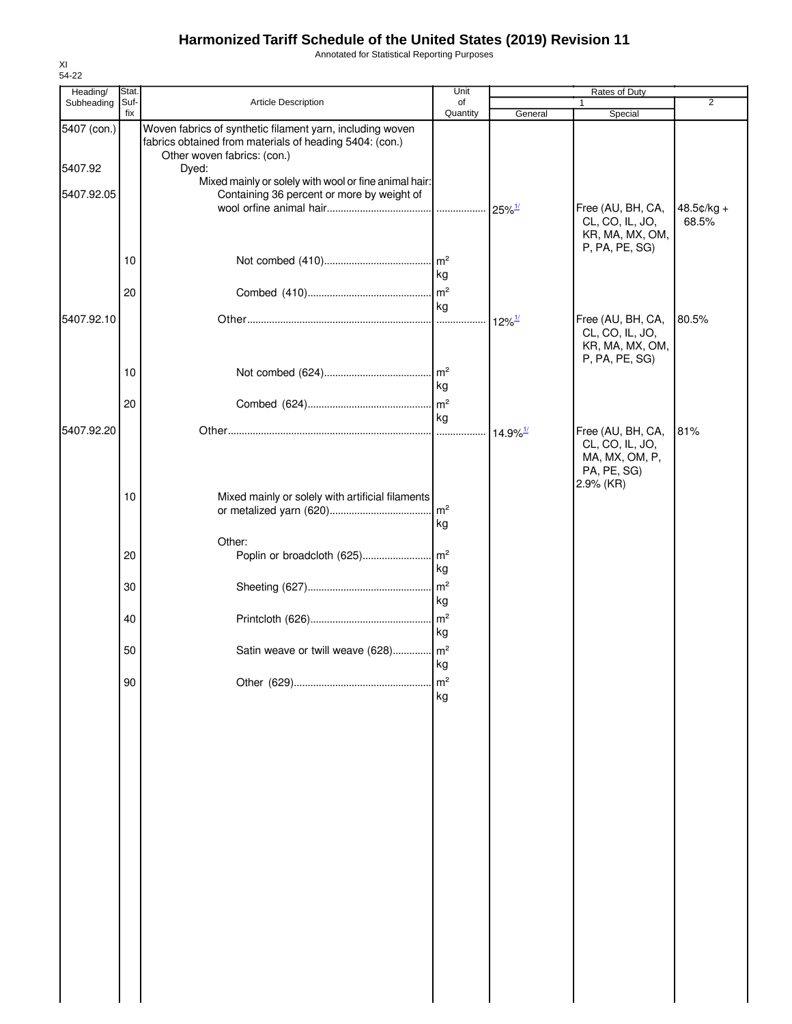Annotated for Statistical Reporting Purposes

| 54-22                  |               |                                                                                                                                                     |                       |                        |                                                                                    |                |
|------------------------|---------------|-----------------------------------------------------------------------------------------------------------------------------------------------------|-----------------------|------------------------|------------------------------------------------------------------------------------|----------------|
| Heading/<br>Subheading | Stat.<br>Suf- | Article Description                                                                                                                                 | Unit<br>of            |                        | Rates of Duty                                                                      | $\overline{2}$ |
|                        | fix           |                                                                                                                                                     | Quantity              | General                | Special                                                                            |                |
| 5407 (con.)            |               | Woven fabrics of synthetic filament yarn, including woven<br>fabrics obtained from materials of heading 5404: (con.)<br>Other woven fabrics: (con.) |                       |                        |                                                                                    |                |
| 5407.92                |               | Dyed:<br>Mixed mainly or solely with wool or fine animal hair:                                                                                      |                       |                        |                                                                                    |                |
| 5407.92.05             |               | Containing 36 percent or more by weight of                                                                                                          |                       | $25\%$ <sup>1/</sup>   | Free (AU, BH, CA,                                                                  | $48.5¢/kg +$   |
|                        |               |                                                                                                                                                     |                       |                        | CL, CO, IL, JO,<br>KR, MA, MX, OM,<br>P, PA, PE, SG)                               | 68.5%          |
|                        | 10            |                                                                                                                                                     | kg                    |                        |                                                                                    |                |
|                        | 20            |                                                                                                                                                     | m <sup>2</sup><br>kg  |                        |                                                                                    |                |
| 5407.92.10             |               |                                                                                                                                                     |                       | $12\%$ <sup>1/</sup>   | Free (AU, BH, CA,<br>CL, CO, IL, JO,<br>KR, MA, MX, OM,<br>P, PA, PE, SG)          | 80.5%          |
|                        | 10            |                                                                                                                                                     | kg                    |                        |                                                                                    |                |
|                        | 20            |                                                                                                                                                     | m <sup>2</sup><br>kg  |                        |                                                                                    |                |
| 5407.92.20             |               |                                                                                                                                                     |                       | $14.9\%$ <sup>1/</sup> | Free (AU, BH, CA,<br>CL, CO, IL, JO,<br>MA, MX, OM, P,<br>PA, PE, SG)<br>2.9% (KR) | 81%            |
|                        | 10            | Mixed mainly or solely with artificial filaments                                                                                                    | m <sup>2</sup><br>kg  |                        |                                                                                    |                |
|                        | 20            | Other:<br>Poplin or broadcloth (625)                                                                                                                | m <sup>2</sup><br>kg  |                        |                                                                                    |                |
|                        | 30            |                                                                                                                                                     | m <sup>2</sup><br>kg  |                        |                                                                                    |                |
|                        | 40            |                                                                                                                                                     | m <sup>2</sup><br>kg  |                        |                                                                                    |                |
|                        | 50            | Satin weave or twill weave (628)                                                                                                                    | $\mathsf{Im}^2$<br>kg |                        |                                                                                    |                |
|                        | 90            |                                                                                                                                                     | m <sup>2</sup><br>kg  |                        |                                                                                    |                |
|                        |               |                                                                                                                                                     |                       |                        |                                                                                    |                |
|                        |               |                                                                                                                                                     |                       |                        |                                                                                    |                |
|                        |               |                                                                                                                                                     |                       |                        |                                                                                    |                |
|                        |               |                                                                                                                                                     |                       |                        |                                                                                    |                |
|                        |               |                                                                                                                                                     |                       |                        |                                                                                    |                |
|                        |               |                                                                                                                                                     |                       |                        |                                                                                    |                |
|                        |               |                                                                                                                                                     |                       |                        |                                                                                    |                |
|                        |               |                                                                                                                                                     |                       |                        |                                                                                    |                |
|                        |               |                                                                                                                                                     |                       |                        |                                                                                    |                |
|                        |               |                                                                                                                                                     |                       |                        |                                                                                    |                |

XI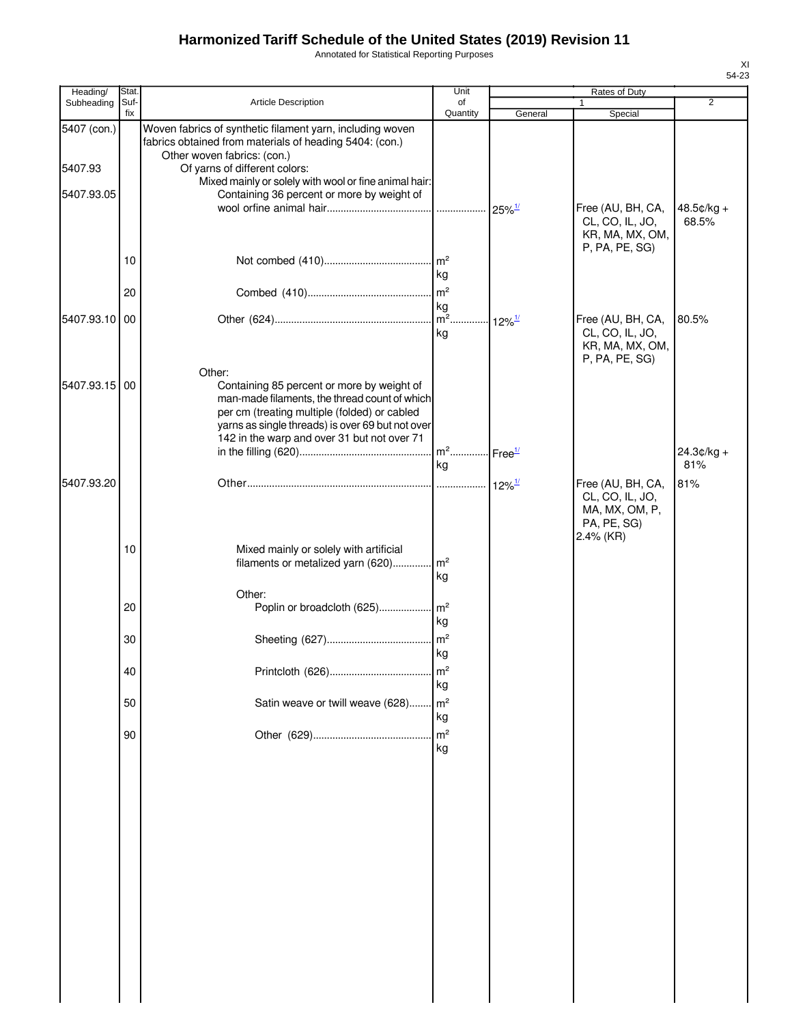Annotated for Statistical Reporting Purposes

| Heading/      | Stat.       |                                                                                                                                                                                                                                                          | Unit                  |                           | Rates of Duty                                                                      |                     |
|---------------|-------------|----------------------------------------------------------------------------------------------------------------------------------------------------------------------------------------------------------------------------------------------------------|-----------------------|---------------------------|------------------------------------------------------------------------------------|---------------------|
| Subheading    | Suf-<br>fix | Article Description                                                                                                                                                                                                                                      | of<br>Quantity        | General                   | $\mathbf{1}$<br>Special                                                            | $\overline{2}$      |
| 5407 (con.)   |             | Woven fabrics of synthetic filament yarn, including woven<br>fabrics obtained from materials of heading 5404: (con.)<br>Other woven fabrics: (con.)                                                                                                      |                       |                           |                                                                                    |                     |
| 5407.93       |             | Of yarns of different colors:                                                                                                                                                                                                                            |                       |                           |                                                                                    |                     |
| 5407.93.05    |             | Mixed mainly or solely with wool or fine animal hair:<br>Containing 36 percent or more by weight of                                                                                                                                                      |                       |                           |                                                                                    |                     |
|               |             |                                                                                                                                                                                                                                                          |                       | $25\%$ <sup>1/</sup>      | Free (AU, BH, CA,<br>CL, CO, IL, JO,<br>KR, MA, MX, OM,<br>P, PA, PE, SG)          | 48.5¢/kg +<br>68.5% |
|               | 10          |                                                                                                                                                                                                                                                          | kg                    |                           |                                                                                    |                     |
|               | 20          |                                                                                                                                                                                                                                                          | m <sup>2</sup>        |                           |                                                                                    |                     |
| 5407.93.10 00 |             |                                                                                                                                                                                                                                                          | kg<br>$\sqrt{m^2}$    | $\cdot$ 12% $\frac{1}{2}$ | Free (AU, BH, CA,                                                                  | 80.5%               |
|               |             |                                                                                                                                                                                                                                                          | kg                    |                           | CL, CO, IL, JO,<br>KR, MA, MX, OM,<br>P, PA, PE, SG)                               |                     |
| 5407.93.15 00 |             | Other:<br>Containing 85 percent or more by weight of<br>man-made filaments, the thread count of which<br>per cm (treating multiple (folded) or cabled<br>yarns as single threads) is over 69 but not over<br>142 in the warp and over 31 but not over 71 |                       |                           |                                                                                    |                     |
|               |             |                                                                                                                                                                                                                                                          |                       |                           |                                                                                    | $24.3¢/kg +$        |
|               |             |                                                                                                                                                                                                                                                          | kg                    |                           |                                                                                    | 81%                 |
| 5407.93.20    |             |                                                                                                                                                                                                                                                          |                       | $12\%$ <sup>1/</sup>      | Free (AU, BH, CA,<br>CL, CO, IL, JO,<br>MA, MX, OM, P,<br>PA, PE, SG)<br>2.4% (KR) | 81%                 |
|               | 10          | Mixed mainly or solely with artificial<br>filaments or metalized yarn (620)                                                                                                                                                                              | $\mathsf{Im}^2$<br>kg |                           |                                                                                    |                     |
|               | 20          | Other:<br>Poplin or broadcloth (625)                                                                                                                                                                                                                     | $\mathsf{Im}^2$<br>kg |                           |                                                                                    |                     |
|               | 30          |                                                                                                                                                                                                                                                          | m <sup>2</sup><br>kg  |                           |                                                                                    |                     |
|               | 40          |                                                                                                                                                                                                                                                          | m <sup>2</sup><br>kg  |                           |                                                                                    |                     |
|               | 50          | Satin weave or twill weave (628)                                                                                                                                                                                                                         | m <sup>2</sup><br>kg  |                           |                                                                                    |                     |
|               | 90          |                                                                                                                                                                                                                                                          | m <sup>2</sup><br>kg  |                           |                                                                                    |                     |
|               |             |                                                                                                                                                                                                                                                          |                       |                           |                                                                                    |                     |
|               |             |                                                                                                                                                                                                                                                          |                       |                           |                                                                                    |                     |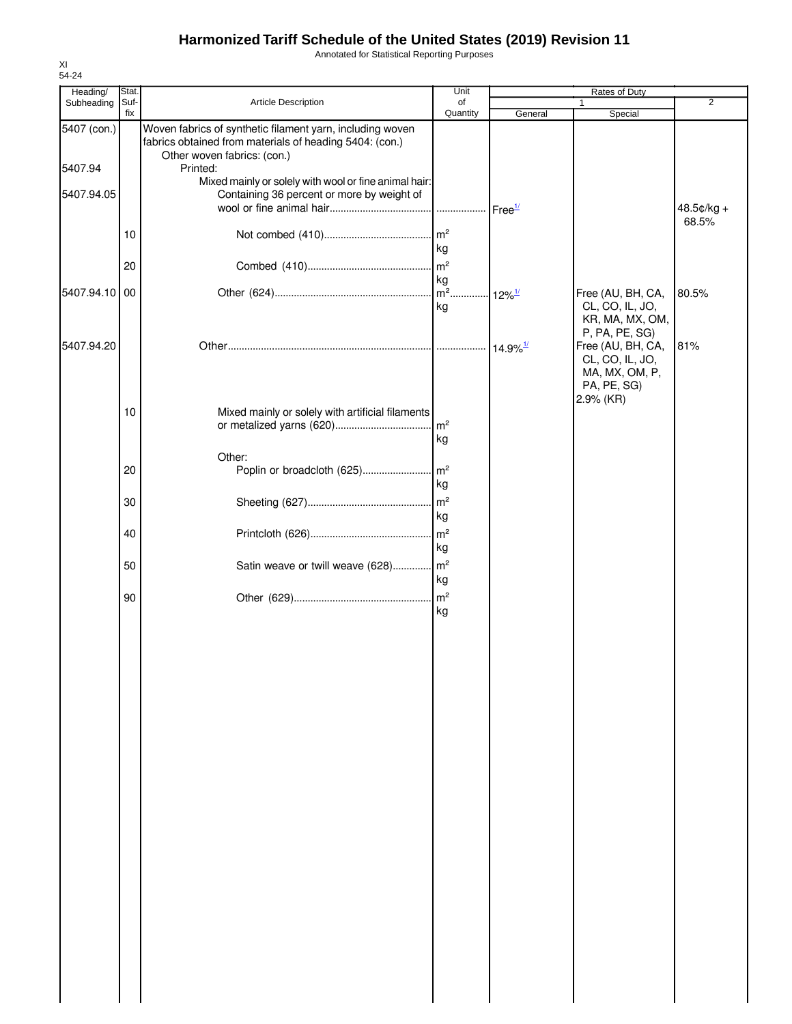Annotated for Statistical Reporting Purposes

| Heading/      | Stat.       |                                                                                                                      | Unit                  |                        | <b>Rates of Duty</b>                 |                |
|---------------|-------------|----------------------------------------------------------------------------------------------------------------------|-----------------------|------------------------|--------------------------------------|----------------|
| Subheading    | Suf-<br>fix | Article Description                                                                                                  | of<br>Quantity        | General                | 1<br>Special                         | $\overline{2}$ |
| 5407 (con.)   |             | Woven fabrics of synthetic filament yarn, including woven<br>fabrics obtained from materials of heading 5404: (con.) |                       |                        |                                      |                |
| 5407.94       |             | Other woven fabrics: (con.)<br>Printed:                                                                              |                       |                        |                                      |                |
| 5407.94.05    |             | Mixed mainly or solely with wool or fine animal hair:<br>Containing 36 percent or more by weight of                  |                       |                        |                                      | $48.5$ ¢/kg +  |
|               |             |                                                                                                                      |                       | Free <sup>1/</sup>     |                                      | 68.5%          |
|               | 10          |                                                                                                                      | m <sup>2</sup><br>kg  |                        |                                      |                |
|               | 20          |                                                                                                                      | m <sup>2</sup><br>kg  |                        |                                      |                |
| 5407.94.10 00 |             |                                                                                                                      | $m2$ .<br>kg          | $-12\%$ <sup>1/</sup>  | Free (AU, BH, CA,<br>CL, CO, IL, JO, | 80.5%          |
|               |             |                                                                                                                      |                       |                        | KR, MA, MX, OM,<br>P, PA, PE, SG)    |                |
| 5407.94.20    |             |                                                                                                                      |                       | $14.9\%$ <sup>1/</sup> | Free (AU, BH, CA,<br>CL, CO, IL, JO, | 81%            |
|               |             |                                                                                                                      |                       |                        | MA, MX, OM, P,<br>PA, PE, SG)        |                |
|               | 10          | Mixed mainly or solely with artificial filaments                                                                     | m <sup>2</sup>        |                        | 2.9% (KR)                            |                |
|               |             |                                                                                                                      | kg                    |                        |                                      |                |
|               | 20          | Other:<br>Poplin or broadcloth (625)                                                                                 | m <sup>2</sup><br>kg  |                        |                                      |                |
|               | 30          |                                                                                                                      | m <sup>2</sup><br>kg  |                        |                                      |                |
|               | 40          |                                                                                                                      | m <sup>2</sup><br>kg  |                        |                                      |                |
|               | 50          | Satin weave or twill weave (628)                                                                                     | $\mathsf{Im}^2$<br>kg |                        |                                      |                |
|               | 90          |                                                                                                                      | m <sup>2</sup><br>kg  |                        |                                      |                |
|               |             |                                                                                                                      |                       |                        |                                      |                |
|               |             |                                                                                                                      |                       |                        |                                      |                |
|               |             |                                                                                                                      |                       |                        |                                      |                |
|               |             |                                                                                                                      |                       |                        |                                      |                |
|               |             |                                                                                                                      |                       |                        |                                      |                |
|               |             |                                                                                                                      |                       |                        |                                      |                |
|               |             |                                                                                                                      |                       |                        |                                      |                |
|               |             |                                                                                                                      |                       |                        |                                      |                |
|               |             |                                                                                                                      |                       |                        |                                      |                |
|               |             |                                                                                                                      |                       |                        |                                      |                |
|               |             |                                                                                                                      |                       |                        |                                      |                |
|               |             |                                                                                                                      |                       |                        |                                      |                |
|               |             |                                                                                                                      |                       |                        |                                      |                |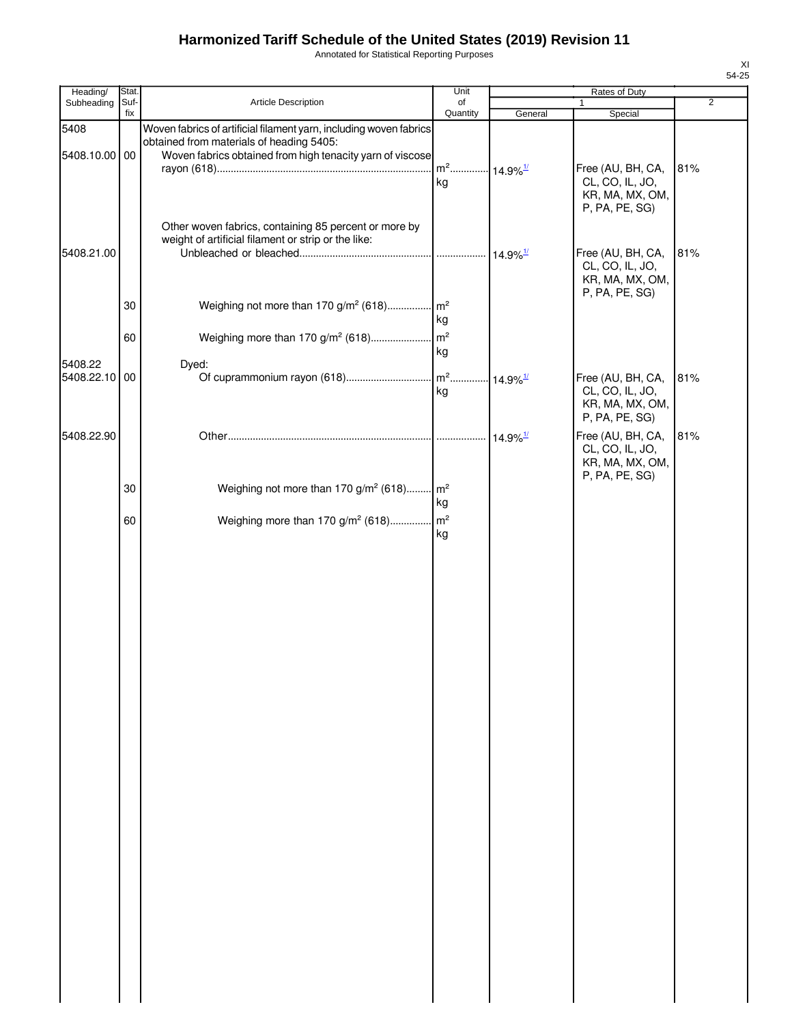Annotated for Statistical Reporting Purposes

| Heading/                 | Stat.       |                                                                                                                                                                             | Unit                                     | Rates of Duty               |                                                                           |                |
|--------------------------|-------------|-----------------------------------------------------------------------------------------------------------------------------------------------------------------------------|------------------------------------------|-----------------------------|---------------------------------------------------------------------------|----------------|
| Subheading               | Suf-<br>fix | Article Description                                                                                                                                                         | of<br>Quantity                           | General                     | 1<br>Special                                                              | $\overline{2}$ |
| 5408<br>5408.10.00 00    |             | Woven fabrics of artificial filament yarn, including woven fabrics<br>obtained from materials of heading 5405:<br>Woven fabrics obtained from high tenacity yarn of viscose |                                          |                             |                                                                           |                |
|                          |             |                                                                                                                                                                             | m <sup>2</sup> 14.9% <sup>1/</sup><br>kg |                             | Free (AU, BH, CA,<br>CL, CO, IL, JO,<br>KR, MA, MX, OM,<br>P, PA, PE, SG) | 81%            |
| 5408.21.00               |             | Other woven fabrics, containing 85 percent or more by<br>weight of artificial filament or strip or the like:                                                                |                                          | $\cdot$ 14.9% $\frac{1}{2}$ | Free (AU, BH, CA,<br>CL, CO, IL, JO,<br>KR, MA, MX, OM,                   | 81%            |
|                          | 30          | Weighing not more than 170 g/m <sup>2</sup> (618) m <sup>2</sup>                                                                                                            | kg                                       |                             | P, PA, PE, SG)                                                            |                |
|                          | 60          | Weighing more than 170 g/m <sup>2</sup> (618)                                                                                                                               | m <sup>2</sup><br>kg                     |                             |                                                                           |                |
| 5408.22<br>5408.22.10 00 |             | Dyed:                                                                                                                                                                       | kg                                       |                             | Free (AU, BH, CA,<br>CL, CO, IL, JO,<br>KR, MA, MX, OM,<br>P, PA, PE, SG) | 81%            |
| 5408.22.90               |             |                                                                                                                                                                             |                                          | $14.9\%$ <sup>1/</sup>      | Free (AU, BH, CA,<br>CL, CO, IL, JO,<br>KR, MA, MX, OM,<br>P, PA, PE, SG) | 81%            |
|                          | 30          | Weighing not more than 170 g/m <sup>2</sup> (618) m <sup>2</sup>                                                                                                            | kg                                       |                             |                                                                           |                |
|                          | 60          | Weighing more than 170 g/m <sup>2</sup> (618)                                                                                                                               | $\mathsf{m}^2$<br>kg                     |                             |                                                                           |                |
|                          |             |                                                                                                                                                                             |                                          |                             |                                                                           |                |
|                          |             |                                                                                                                                                                             |                                          |                             |                                                                           |                |
|                          |             |                                                                                                                                                                             |                                          |                             |                                                                           |                |
|                          |             |                                                                                                                                                                             |                                          |                             |                                                                           |                |
|                          |             |                                                                                                                                                                             |                                          |                             |                                                                           |                |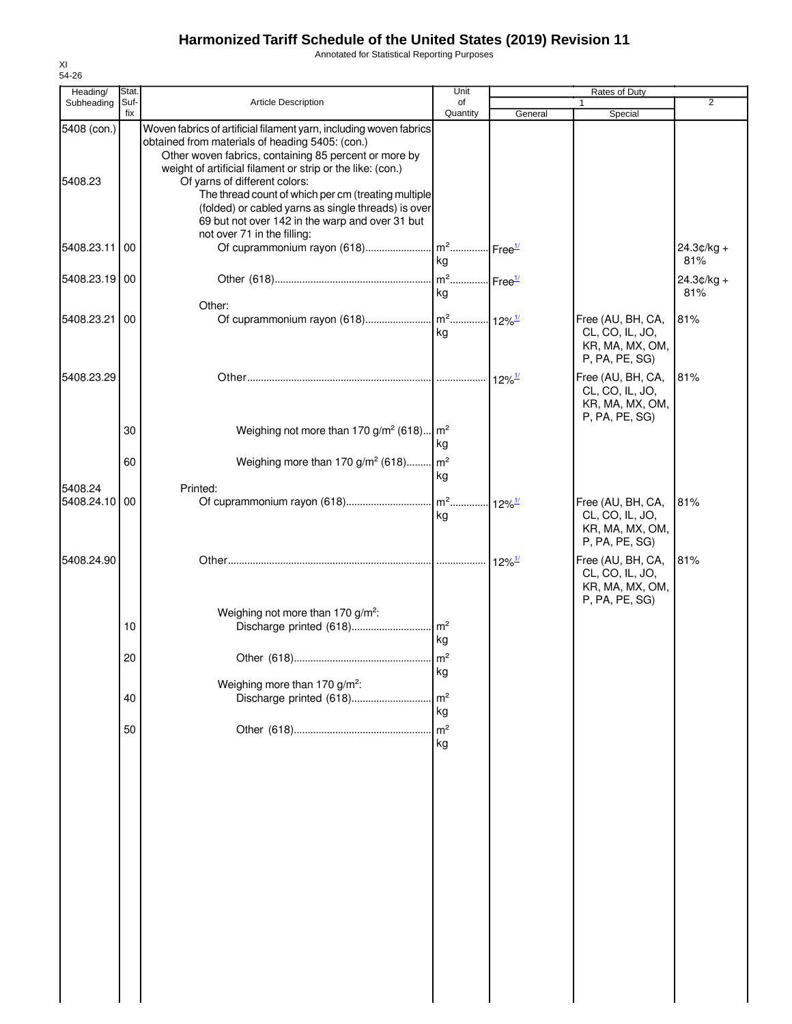Annotated for Statistical Reporting Purposes

| Heading/                 | Stat.       |                                                                                                                                                                                                                                                                                                                                                                                                                                                                               | Unit                                    |                      | Rates of Duty                                                                               |                     |
|--------------------------|-------------|-------------------------------------------------------------------------------------------------------------------------------------------------------------------------------------------------------------------------------------------------------------------------------------------------------------------------------------------------------------------------------------------------------------------------------------------------------------------------------|-----------------------------------------|----------------------|---------------------------------------------------------------------------------------------|---------------------|
| Subheading               | Suf-<br>fix | <b>Article Description</b>                                                                                                                                                                                                                                                                                                                                                                                                                                                    | of<br>Quantity                          | General              | 1<br>Special                                                                                | $\overline{2}$      |
| 5408 (con.)<br>5408.23   |             | Woven fabrics of artificial filament yarn, including woven fabrics<br>obtained from materials of heading 5405: (con.)<br>Other woven fabrics, containing 85 percent or more by<br>weight of artificial filament or strip or the like: (con.)<br>Of yarns of different colors:<br>The thread count of which per cm (treating multiple<br>(folded) or cabled yarns as single threads) is over<br>69 but not over 142 in the warp and over 31 but<br>not over 71 in the filling: |                                         |                      |                                                                                             |                     |
| 5408.23.11 00            |             |                                                                                                                                                                                                                                                                                                                                                                                                                                                                               | kg                                      |                      |                                                                                             | $24.3¢/kg +$<br>81% |
| 5408.23.19 00            |             |                                                                                                                                                                                                                                                                                                                                                                                                                                                                               | m <sup>2</sup> Free <sup>1/</sup><br>kg |                      |                                                                                             | $24.3¢/kg +$<br>81% |
| 5408.23.21               | 00          | Other:                                                                                                                                                                                                                                                                                                                                                                                                                                                                        | kg                                      |                      | Free (AU, BH, CA,<br>CL, CO, IL, JO,<br>KR, MA, MX, OM,<br>P, PA, PE, SG)                   | 81%                 |
| 5408.23.29               |             |                                                                                                                                                                                                                                                                                                                                                                                                                                                                               |                                         | 12%1                 | Free (AU, BH, CA,<br>CL, CO, IL, JO,<br>KR, MA, MX, OM,<br>P, PA, PE, SG)                   | 81%                 |
|                          | 30<br>60    | Weighing not more than 170 g/m <sup>2</sup> (618) $m^2$<br>Weighing more than 170 g/m <sup>2</sup> (618) m <sup>2</sup>                                                                                                                                                                                                                                                                                                                                                       | kg                                      |                      |                                                                                             |                     |
| 5408.24<br>5408.24.10 00 |             | Printed:                                                                                                                                                                                                                                                                                                                                                                                                                                                                      | kg<br>kg                                | $12\%$ <sup>1/</sup> | Free (AU, BH, CA,<br>CL, CO, IL, JO,<br>KR, MA, MX, OM,                                     | 81%                 |
| 5408.24.90               |             |                                                                                                                                                                                                                                                                                                                                                                                                                                                                               |                                         | $12\%$ <sup>1/</sup> | P, PA, PE, SG)<br>Free (AU, BH, CA,<br>CL, CO, IL, JO,<br>KR, MA, MX, OM,<br>P, PA, PE, SG) | 81%                 |
|                          | 10          | Weighing not more than 170 g/m <sup>2</sup> :<br>Discharge printed (618)                                                                                                                                                                                                                                                                                                                                                                                                      | m <sup>2</sup>                          |                      |                                                                                             |                     |
|                          | 20          |                                                                                                                                                                                                                                                                                                                                                                                                                                                                               | kg<br>$\mathsf{Im}^2$<br>kg             |                      |                                                                                             |                     |
|                          | 40          | Weighing more than 170 g/m <sup>2</sup> :<br>Discharge printed (618)                                                                                                                                                                                                                                                                                                                                                                                                          | m <sup>2</sup><br>kg                    |                      |                                                                                             |                     |
|                          | 50          |                                                                                                                                                                                                                                                                                                                                                                                                                                                                               | m <sup>2</sup><br>kg                    |                      |                                                                                             |                     |
|                          |             |                                                                                                                                                                                                                                                                                                                                                                                                                                                                               |                                         |                      |                                                                                             |                     |
|                          |             |                                                                                                                                                                                                                                                                                                                                                                                                                                                                               |                                         |                      |                                                                                             |                     |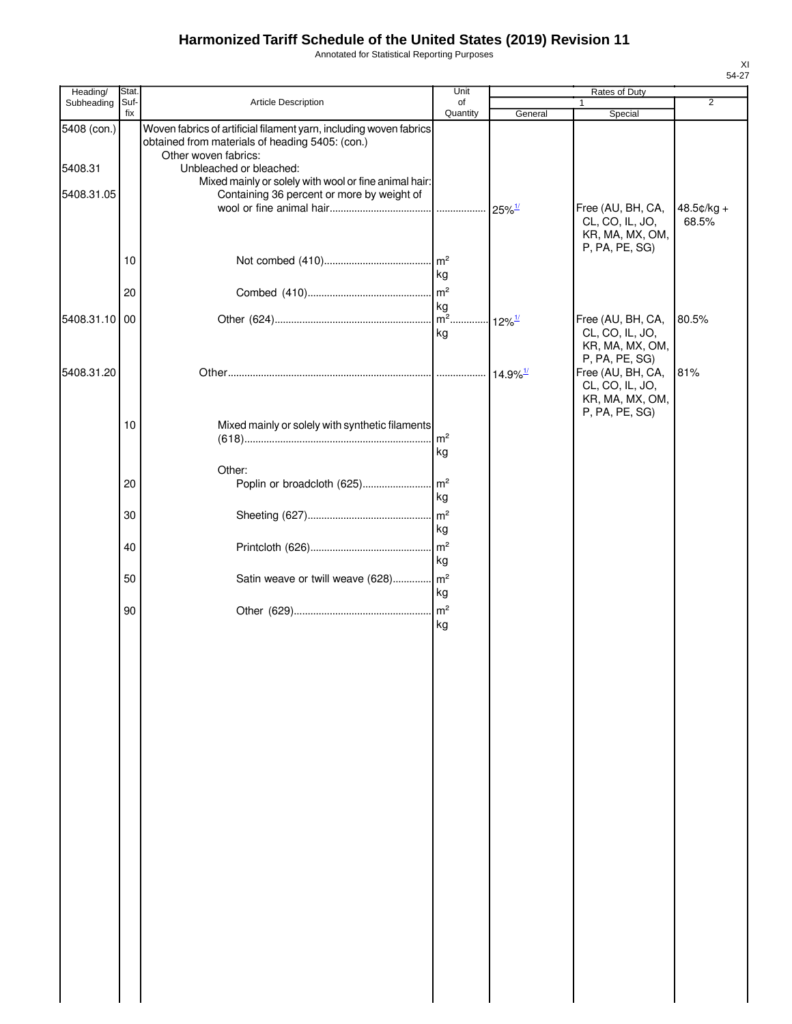Annotated for Statistical Reporting Purposes

| I |
|---|

| Heading/               | Stat.       |                                                                                                                                                                          | Unit                 | Rates of Duty          |                                                                           |                       |
|------------------------|-------------|--------------------------------------------------------------------------------------------------------------------------------------------------------------------------|----------------------|------------------------|---------------------------------------------------------------------------|-----------------------|
| Subheading             | Suf-<br>fix | Article Description                                                                                                                                                      | of<br>Quantity       | General                | 1<br>Special                                                              | 2                     |
| 5408 (con.)<br>5408.31 |             | Woven fabrics of artificial filament yarn, including woven fabrics<br>obtained from materials of heading 5405: (con.)<br>Other woven fabrics:<br>Unbleached or bleached: |                      |                        |                                                                           |                       |
|                        |             | Mixed mainly or solely with wool or fine animal hair:                                                                                                                    |                      |                        |                                                                           |                       |
| 5408.31.05             |             | Containing 36 percent or more by weight of                                                                                                                               |                      |                        |                                                                           |                       |
|                        |             |                                                                                                                                                                          |                      |                        | Free (AU, BH, CA,<br>CL, CO, IL, JO,<br>KR, MA, MX, OM,<br>P, PA, PE, SG) | $48.5¢/kg +$<br>68.5% |
|                        | 10          |                                                                                                                                                                          | kg                   |                        |                                                                           |                       |
|                        | 20          |                                                                                                                                                                          | m <sup>2</sup>       |                        |                                                                           |                       |
| 5408.31.10 00          |             |                                                                                                                                                                          | kg                   | $12\%$ <sup>1/</sup>   | Free (AU, BH, CA,                                                         | 80.5%                 |
|                        |             |                                                                                                                                                                          | kg                   |                        | CL, CO, IL, JO,<br>KR, MA, MX, OM,<br>P, PA, PE, SG)                      |                       |
| 5408.31.20             |             |                                                                                                                                                                          |                      | $14.9\%$ <sup>1/</sup> | Free (AU, BH, CA,                                                         | 81%                   |
|                        |             |                                                                                                                                                                          |                      |                        | CL, CO, IL, JO,<br>KR, MA, MX, OM,<br>P, PA, PE, SG)                      |                       |
|                        | 10          | Mixed mainly or solely with synthetic filaments                                                                                                                          |                      |                        |                                                                           |                       |
|                        |             |                                                                                                                                                                          | m <sup>2</sup><br>kg |                        |                                                                           |                       |
|                        |             | Other:                                                                                                                                                                   |                      |                        |                                                                           |                       |
|                        | 20          | Poplin or broadcloth (625)                                                                                                                                               | m <sup>2</sup>       |                        |                                                                           |                       |
|                        |             |                                                                                                                                                                          | kg                   |                        |                                                                           |                       |
|                        | 30          |                                                                                                                                                                          | m <sup>2</sup>       |                        |                                                                           |                       |
|                        |             |                                                                                                                                                                          | kg                   |                        |                                                                           |                       |
|                        | 40          |                                                                                                                                                                          | m <sup>2</sup><br>kg |                        |                                                                           |                       |
|                        | 50          | Satin weave or twill weave (628)                                                                                                                                         | m <sup>2</sup>       |                        |                                                                           |                       |
|                        |             |                                                                                                                                                                          | kg                   |                        |                                                                           |                       |
|                        | 90          |                                                                                                                                                                          | m <sup>2</sup>       |                        |                                                                           |                       |
|                        |             |                                                                                                                                                                          | kg                   |                        |                                                                           |                       |
|                        |             |                                                                                                                                                                          |                      |                        |                                                                           |                       |
|                        |             |                                                                                                                                                                          |                      |                        |                                                                           |                       |
|                        |             |                                                                                                                                                                          |                      |                        |                                                                           |                       |
|                        |             |                                                                                                                                                                          |                      |                        |                                                                           |                       |
|                        |             |                                                                                                                                                                          |                      |                        |                                                                           |                       |
|                        |             |                                                                                                                                                                          |                      |                        |                                                                           |                       |
|                        |             |                                                                                                                                                                          |                      |                        |                                                                           |                       |
|                        |             |                                                                                                                                                                          |                      |                        |                                                                           |                       |
|                        |             |                                                                                                                                                                          |                      |                        |                                                                           |                       |
|                        |             |                                                                                                                                                                          |                      |                        |                                                                           |                       |
|                        |             |                                                                                                                                                                          |                      |                        |                                                                           |                       |
|                        |             |                                                                                                                                                                          |                      |                        |                                                                           |                       |
|                        |             |                                                                                                                                                                          |                      |                        |                                                                           |                       |
|                        |             |                                                                                                                                                                          |                      |                        |                                                                           |                       |
|                        |             |                                                                                                                                                                          |                      |                        |                                                                           |                       |
|                        |             |                                                                                                                                                                          |                      |                        |                                                                           |                       |
|                        |             |                                                                                                                                                                          |                      |                        |                                                                           |                       |
|                        |             |                                                                                                                                                                          |                      |                        |                                                                           |                       |
|                        |             |                                                                                                                                                                          |                      |                        |                                                                           |                       |
|                        |             |                                                                                                                                                                          |                      |                        |                                                                           |                       |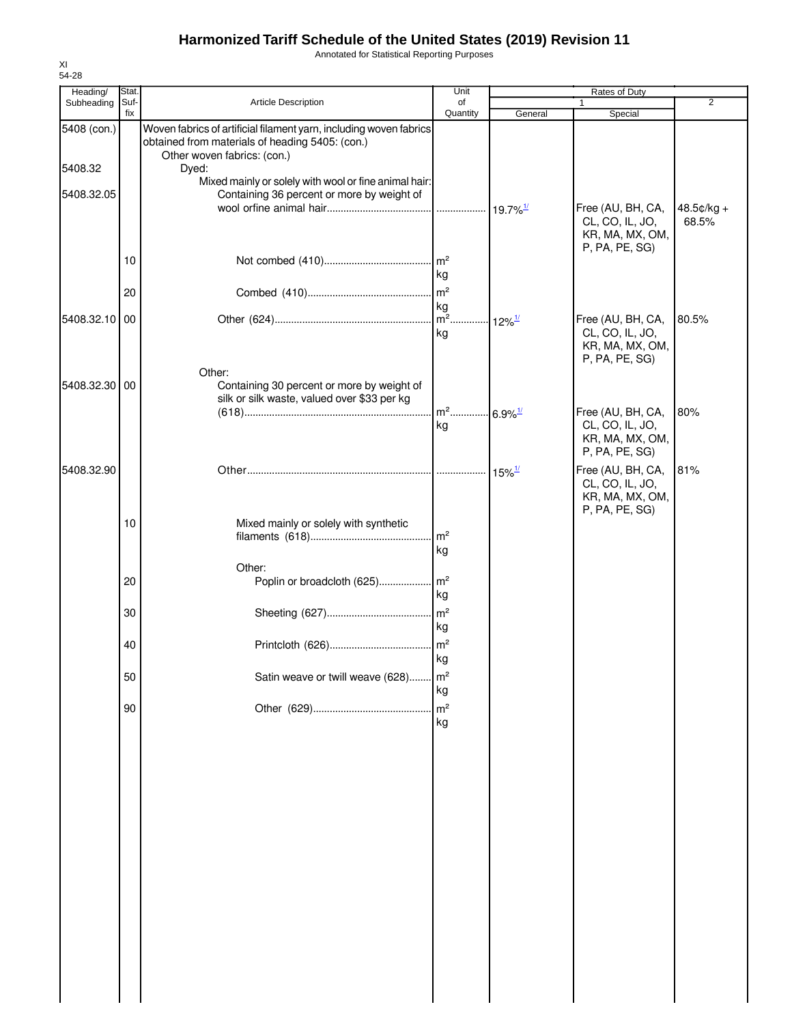Annotated for Statistical Reporting Purposes

| Heading/      | Stat.       |                                                                                                                                                      | Unit                                    |                           |                                                                           |                |
|---------------|-------------|------------------------------------------------------------------------------------------------------------------------------------------------------|-----------------------------------------|---------------------------|---------------------------------------------------------------------------|----------------|
| Subheading    | Suf-<br>fix | Article Description                                                                                                                                  | of<br>Quantity                          | General                   | 1<br>Special                                                              | $\overline{2}$ |
| 5408 (con.)   |             | Woven fabrics of artificial filament yarn, including woven fabrics<br>obtained from materials of heading 5405: (con.)<br>Other woven fabrics: (con.) |                                         |                           |                                                                           |                |
| 5408.32       |             | Dyed:                                                                                                                                                |                                         |                           |                                                                           |                |
| 5408.32.05    |             | Mixed mainly or solely with wool or fine animal hair:<br>Containing 36 percent or more by weight of                                                  |                                         |                           | Free (AU, BH, CA,                                                         | $48.5¢/kg +$   |
|               |             |                                                                                                                                                      |                                         |                           | CL, CO, IL, JO,<br>KR, MA, MX, OM,<br>P, PA, PE, SG)                      | 68.5%          |
|               | 10          |                                                                                                                                                      | $\mathsf{Im}^2$<br>kg                   |                           |                                                                           |                |
|               | 20          |                                                                                                                                                      | m <sup>2</sup><br>kg                    |                           |                                                                           |                |
| 5408.32.10 00 |             |                                                                                                                                                      | $m2$                                    | $\cdot$ 12% $\frac{1}{2}$ | Free (AU, BH, CA,                                                         | 80.5%          |
|               |             |                                                                                                                                                      | kg                                      |                           | CL, CO, IL, JO,<br>KR, MA, MX, OM,<br>P, PA, PE, SG)                      |                |
| 5408.32.30 00 |             | Other:<br>Containing 30 percent or more by weight of<br>silk or silk waste, valued over \$33 per kg                                                  |                                         |                           |                                                                           |                |
|               |             |                                                                                                                                                      | m <sup>2</sup> 6.9% <sup>1/</sup><br>kg |                           | Free (AU, BH, CA,<br>CL, CO, IL, JO,<br>KR, MA, MX, OM,<br>P, PA, PE, SG) | 80%            |
| 5408.32.90    |             |                                                                                                                                                      |                                         | $15\%$ <sup>1/</sup>      | Free (AU, BH, CA,<br>CL, CO, IL, JO,<br>KR, MA, MX, OM,<br>P, PA, PE, SG) | 81%            |
|               | 10          | Mixed mainly or solely with synthetic                                                                                                                | m <sup>2</sup><br>kg                    |                           |                                                                           |                |
|               |             | Other:                                                                                                                                               |                                         |                           |                                                                           |                |
|               | 20          | Poplin or broadcloth (625)                                                                                                                           | $\mathsf{Im}^2$<br>kg                   |                           |                                                                           |                |
|               | 30          |                                                                                                                                                      | m <sup>2</sup><br>kg                    |                           |                                                                           |                |
|               | 40          |                                                                                                                                                      | $\mathsf{m}^2$<br>kg                    |                           |                                                                           |                |
|               | 50          | Satin weave or twill weave (628)                                                                                                                     | m <sup>2</sup><br>kg                    |                           |                                                                           |                |
|               | 90          |                                                                                                                                                      | m <sup>2</sup><br>kg                    |                           |                                                                           |                |
|               |             |                                                                                                                                                      |                                         |                           |                                                                           |                |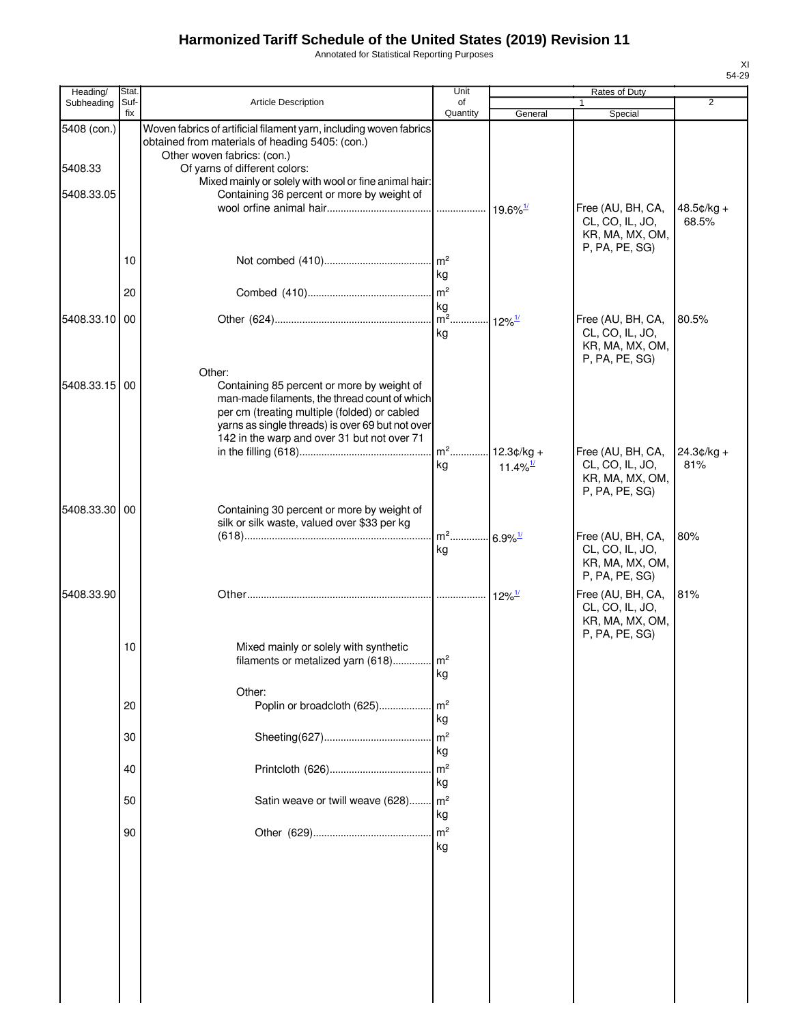Annotated for Statistical Reporting Purposes

| Heading/      | Stat.       |                                                                                                                                                                                                                                                | Unit                              |                        |                                                                           |                |
|---------------|-------------|------------------------------------------------------------------------------------------------------------------------------------------------------------------------------------------------------------------------------------------------|-----------------------------------|------------------------|---------------------------------------------------------------------------|----------------|
| Subheading    | Suf-<br>fix | <b>Article Description</b>                                                                                                                                                                                                                     | of<br>Quantity                    | General                | 1<br>Special                                                              | $\overline{2}$ |
| 5408 (con.)   |             | Woven fabrics of artificial filament yarn, including woven fabrics<br>obtained from materials of heading 5405: (con.)                                                                                                                          |                                   |                        |                                                                           |                |
| 5408.33       |             | Other woven fabrics: (con.)<br>Of yarns of different colors:                                                                                                                                                                                   |                                   |                        |                                                                           |                |
|               |             | Mixed mainly or solely with wool or fine animal hair:                                                                                                                                                                                          |                                   |                        |                                                                           |                |
| 5408.33.05    |             | Containing 36 percent or more by weight of                                                                                                                                                                                                     |                                   | $19.6\%$ <sup>1/</sup> | Free (AU, BH, CA,                                                         | $48.5¢/kg +$   |
|               |             |                                                                                                                                                                                                                                                |                                   |                        | CL, CO, IL, JO,<br>KR, MA, MX, OM,<br>P, PA, PE, SG)                      | 68.5%          |
|               | 10          |                                                                                                                                                                                                                                                | $\mathsf{Im}^2$<br>kg             |                        |                                                                           |                |
|               | 20          |                                                                                                                                                                                                                                                | m <sup>2</sup>                    |                        |                                                                           |                |
| 5408.33.10    | 00          |                                                                                                                                                                                                                                                | kg                                | $12\%$ <sup>1/</sup>   | Free (AU, BH, CA,                                                         | 80.5%          |
|               |             |                                                                                                                                                                                                                                                | kg                                |                        | CL, CO, IL, JO,<br>KR, MA, MX, OM,<br>P, PA, PE, SG)                      |                |
|               |             | Other:                                                                                                                                                                                                                                         |                                   |                        |                                                                           |                |
| 5408.33.15    | 00          | Containing 85 percent or more by weight of<br>man-made filaments, the thread count of which<br>per cm (treating multiple (folded) or cabled<br>yarns as single threads) is over 69 but not over<br>142 in the warp and over 31 but not over 71 |                                   |                        |                                                                           |                |
|               |             |                                                                                                                                                                                                                                                |                                   | $12.3¢/kg +$           | Free (AU, BH, CA,                                                         | $24.3¢/kg +$   |
|               |             |                                                                                                                                                                                                                                                | kg                                | 11.4% $\frac{1}{2}$    | CL, CO, IL, JO,<br>KR, MA, MX, OM,<br>P, PA, PE, SG)                      | 81%            |
| 5408.33.30 00 |             | Containing 30 percent or more by weight of<br>silk or silk waste, valued over \$33 per kg                                                                                                                                                      |                                   |                        |                                                                           |                |
|               |             |                                                                                                                                                                                                                                                | m <sup>2</sup> 6.9% <sup>1/</sup> |                        | Free (AU, BH, CA,                                                         | 80%            |
|               |             |                                                                                                                                                                                                                                                | kg                                |                        | CL, CO, IL, JO,<br>KR, MA, MX, OM,<br>P, PA, PE, SG)                      |                |
| 5408.33.90    |             |                                                                                                                                                                                                                                                |                                   | $12\%$ <sup>1/</sup>   | Free (AU, BH, CA,<br>CL, CO, IL, JO,<br>KR, MA, MX, OM,<br>P, PA, PE, SG) | 81%            |
|               | 10          | Mixed mainly or solely with synthetic<br>filaments or metalized yarn (618)                                                                                                                                                                     | m <sup>2</sup><br>kg              |                        |                                                                           |                |
|               |             | Other:                                                                                                                                                                                                                                         |                                   |                        |                                                                           |                |
|               | 20          | Poplin or broadcloth (625)                                                                                                                                                                                                                     | m <sup>2</sup><br>kg              |                        |                                                                           |                |
|               | 30          |                                                                                                                                                                                                                                                | m <sup>2</sup><br>kg              |                        |                                                                           |                |
|               | 40          |                                                                                                                                                                                                                                                | m <sup>2</sup><br>kg              |                        |                                                                           |                |
|               | 50          | Satin weave or twill weave (628)                                                                                                                                                                                                               | m <sup>2</sup><br>kg              |                        |                                                                           |                |
|               | 90          |                                                                                                                                                                                                                                                | m <sup>2</sup><br>kg              |                        |                                                                           |                |
|               |             |                                                                                                                                                                                                                                                |                                   |                        |                                                                           |                |
|               |             |                                                                                                                                                                                                                                                |                                   |                        |                                                                           |                |
|               |             |                                                                                                                                                                                                                                                |                                   |                        |                                                                           |                |
|               |             |                                                                                                                                                                                                                                                |                                   |                        |                                                                           |                |
|               |             |                                                                                                                                                                                                                                                |                                   |                        |                                                                           |                |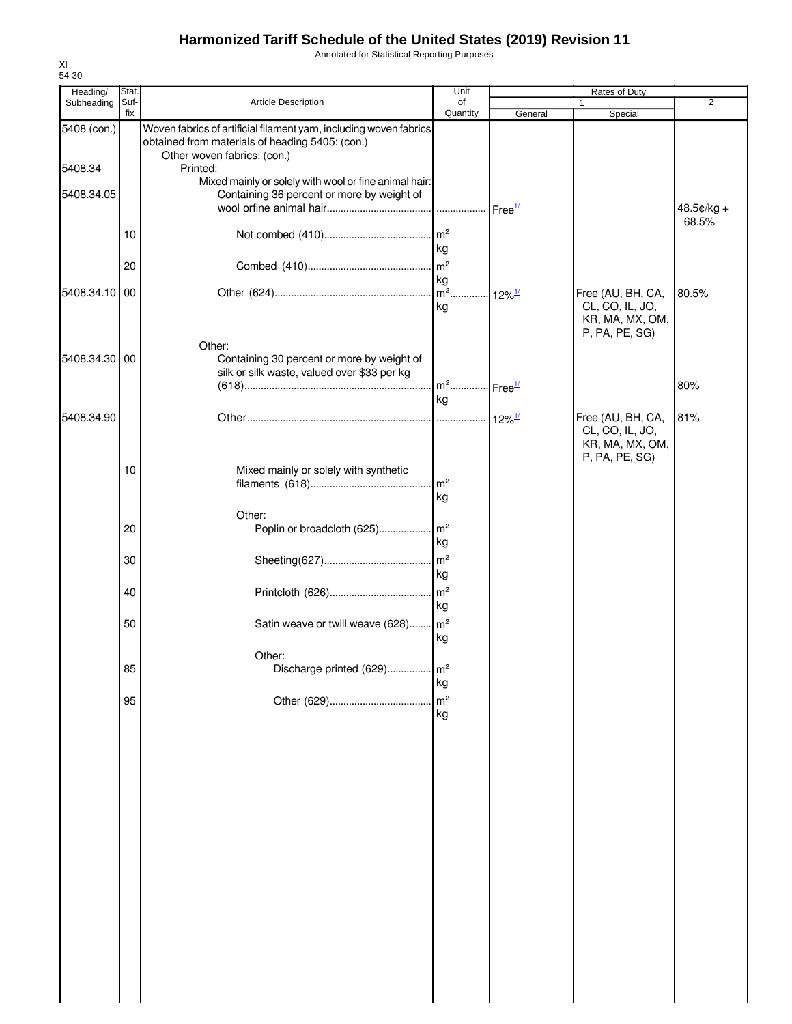Annotated for Statistical Reporting Purposes

| Heading/      | Stat.       |                                                                                                                                                      | Unit                              |                       |                                                                           |                |
|---------------|-------------|------------------------------------------------------------------------------------------------------------------------------------------------------|-----------------------------------|-----------------------|---------------------------------------------------------------------------|----------------|
| Subheading    | Suf-<br>fix | Article Description                                                                                                                                  | of<br>Quantity                    | General               | Special                                                                   | $\overline{2}$ |
| 5408 (con.)   |             | Woven fabrics of artificial filament yarn, including woven fabrics<br>obtained from materials of heading 5405: (con.)<br>Other woven fabrics: (con.) |                                   |                       |                                                                           |                |
| 5408.34       |             | Printed:                                                                                                                                             |                                   |                       |                                                                           |                |
| 5408.34.05    |             | Mixed mainly or solely with wool or fine animal hair:<br>Containing 36 percent or more by weight of                                                  |                                   |                       |                                                                           | $48.5¢/kg +$   |
|               | 10          |                                                                                                                                                      | kg                                |                       |                                                                           | 68.5%          |
|               | 20          |                                                                                                                                                      |                                   |                       |                                                                           |                |
| 5408.34.10 00 |             |                                                                                                                                                      | kg<br>$\overline{m^2}$<br>kg      | $-12\%$ <sup>1/</sup> | Free (AU, BH, CA,<br>CL, CO, IL, JO,<br>KR, MA, MX, OM,                   | 80.5%          |
| 5408.34.30 00 |             | Other:<br>Containing 30 percent or more by weight of                                                                                                 |                                   |                       | P, PA, PE, SG)                                                            |                |
|               |             | silk or silk waste, valued over \$33 per kg                                                                                                          | m <sup>2</sup> Free <sup>1/</sup> |                       |                                                                           | 80%            |
|               |             |                                                                                                                                                      | kg                                |                       |                                                                           |                |
| 5408.34.90    |             |                                                                                                                                                      |                                   |                       | Free (AU, BH, CA,<br>CL, CO, IL, JO,<br>KR, MA, MX, OM,<br>P, PA, PE, SG) | 81%            |
|               | 10          | Mixed mainly or solely with synthetic                                                                                                                | $\mathsf{Im}^2$<br>kg             |                       |                                                                           |                |
|               | 20          | Other:                                                                                                                                               | kg                                |                       |                                                                           |                |
|               | 30          |                                                                                                                                                      | kg                                |                       |                                                                           |                |
|               | 40          |                                                                                                                                                      | kg                                |                       |                                                                           |                |
|               | 50          | Satin weave or twill weave (628) m <sup>2</sup>                                                                                                      | kg                                |                       |                                                                           |                |
|               |             | Other:                                                                                                                                               |                                   |                       |                                                                           |                |
|               | 85          | Discharge printed (629)                                                                                                                              | $\mathsf{m}^2$<br>kg              |                       |                                                                           |                |
|               | 95          |                                                                                                                                                      | m <sup>2</sup><br>kg              |                       |                                                                           |                |
|               |             |                                                                                                                                                      |                                   |                       |                                                                           |                |
|               |             |                                                                                                                                                      |                                   |                       |                                                                           |                |